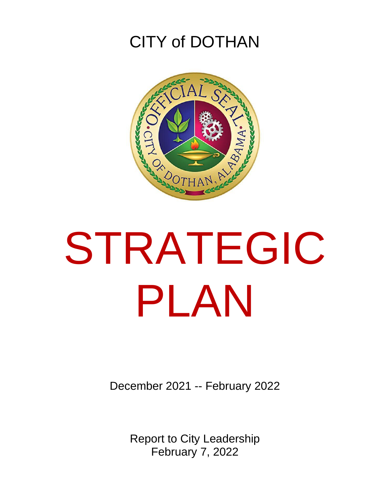## CITY of DOTHAN



## STRATEGIC PLAN

December 2021 -- February 2022

Report to City Leadership February 7, 2022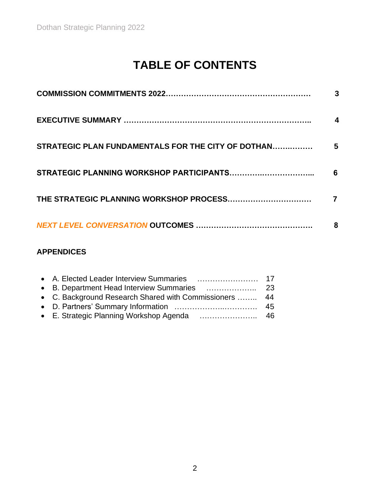### **TABLE OF CONTENTS**

|                                                    | 3 |
|----------------------------------------------------|---|
|                                                    |   |
| STRATEGIC PLAN FUNDAMENTALS FOR THE CITY OF DOTHAN | 5 |
|                                                    | 6 |
|                                                    |   |
|                                                    | 8 |

### **APPENDICES**

| • C. Background Research Shared with Commissioners  44 |  |
|--------------------------------------------------------|--|
|                                                        |  |
|                                                        |  |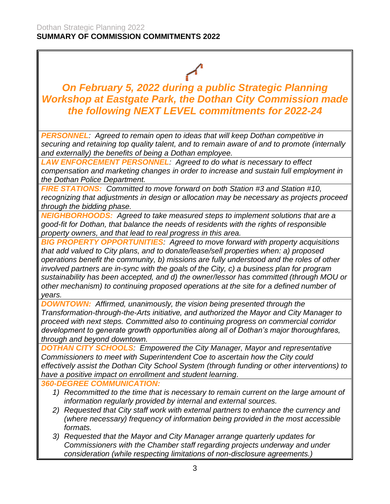*On February 5, 2022 during a public Strategic Planning Workshop at Eastgate Park, the Dothan City Commission made the following NEXT LEVEL commitments for 2022-24*

*PERSONNEL: Agreed to remain open to ideas that will keep Dothan competitive in securing and retaining top quality talent, and to remain aware of and to promote (internally and externally) the benefits of being a Dothan employee.*

*LAW ENFORCEMENT PERSONNEL: Agreed to do what is necessary to effect compensation and marketing changes in order to increase and sustain full employment in the Dothan Police Department.*

*FIRE STATIONS: Committed to move forward on both Station #3 and Station #10, recognizing that adjustments in design or allocation may be necessary as projects proceed through the bidding phase.* 

*NEIGHBORHOODS: Agreed to take measured steps to implement solutions that are a good-fit for Dothan, that balance the needs of residents with the rights of responsible property owners, and that lead to real progress in this area.*

*BIG PROPERTY OPPORTUNITIES: Agreed to move forward with property acquisitions that add valued to City plans, and to donate/lease/sell properties when: a) proposed operations benefit the community, b) missions are fully understood and the roles of other involved partners are in-sync with the goals of the City, c) a business plan for program sustainability has been accepted, and d) the owner/lessor has committed (through MOU or other mechanism) to continuing proposed operations at the site for a defined number of years.*

*DOWNTOWN: Affirmed, unanimously, the vision being presented through the Transformation-through-the-Arts initiative, and authorized the Mayor and City Manager to proceed with next steps. Committed also to continuing progress on commercial corridor development to generate growth opportunities along all of Dothan's major thoroughfares, through and beyond downtown.*

*DOTHAN CITY SCHOOLS: Empowered the City Manager, Mayor and representative Commissioners to meet with Superintendent Coe to ascertain how the City could effectively assist the Dothan City School System (through funding or other interventions) to have a positive impact on enrollment and student learning.*

*360-DEGREE COMMUNICATION:*

- *1) Recommitted to the time that is necessary to remain current on the large amount of information regularly provided by internal and external sources.*
- *2) Requested that City staff work with external partners to enhance the currency and (where necessary) frequency of information being provided in the most accessible formats.*
- *3) Requested that the Mayor and City Manager arrange quarterly updates for Commissioners with the Chamber staff regarding projects underway and under consideration (while respecting limitations of non-disclosure agreements.)*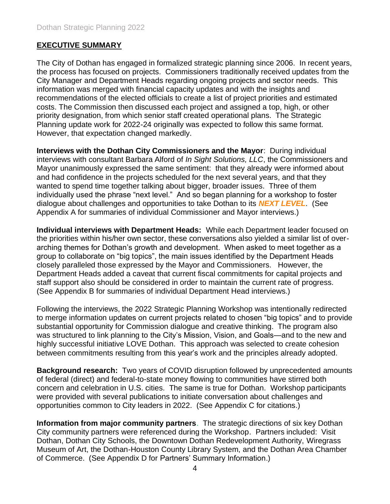#### **EXECUTIVE SUMMARY**

The City of Dothan has engaged in formalized strategic planning since 2006. In recent years, the process has focused on projects. Commissioners traditionally received updates from the City Manager and Department Heads regarding ongoing projects and sector needs. This information was merged with financial capacity updates and with the insights and recommendations of the elected officials to create a list of project priorities and estimated costs. The Commission then discussed each project and assigned a top, high, or other priority designation, from which senior staff created operational plans. The Strategic Planning update work for 2022-24 originally was expected to follow this same format. However, that expectation changed markedly.

**Interviews with the Dothan City Commissioners and the Mayor**: During individual interviews with consultant Barbara Alford of *In Sight Solutions, LLC*, the Commissioners and Mayor unanimously expressed the same sentiment: that they already were informed about and had confidence in the projects scheduled for the next several years, and that they wanted to spend time together talking about bigger, broader issues. Three of them individually used the phrase "next level." And so began planning for a workshop to foster dialogue about challenges and opportunities to take Dothan to its *NEXT LEVEL*. (See Appendix A for summaries of individual Commissioner and Mayor interviews.)

**Individual interviews with Department Heads:** While each Department leader focused on the priorities within his/her own sector, these conversations also yielded a similar list of overarching themes for Dothan's growth and development. When asked to meet together as a group to collaborate on "big topics", the main issues identified by the Department Heads closely paralleled those expressed by the Mayor and Commissioners. However, the Department Heads added a caveat that current fiscal commitments for capital projects and staff support also should be considered in order to maintain the current rate of progress. (See Appendix B for summaries of individual Department Head interviews.)

Following the interviews, the 2022 Strategic Planning Workshop was intentionally redirected to merge information updates on current projects related to chosen "big topics" and to provide substantial opportunity for Commission dialogue and creative thinking. The program also was structured to link planning to the City's Mission, Vision, and Goals—and to the new and highly successful initiative LOVE Dothan. This approach was selected to create cohesion between commitments resulting from this year's work and the principles already adopted.

**Background research:** Two years of COVID disruption followed by unprecedented amounts of federal (direct) and federal-to-state money flowing to communities have stirred both concern and celebration in U.S. cities. The same is true for Dothan. Workshop participants were provided with several publications to initiate conversation about challenges and opportunities common to City leaders in 2022. (See Appendix C for citations.)

**Information from major community partners**. The strategic directions of six key Dothan City community partners were referenced during the Workshop. Partners included: Visit Dothan, Dothan City Schools, the Downtown Dothan Redevelopment Authority, Wiregrass Museum of Art, the Dothan-Houston County Library System, and the Dothan Area Chamber of Commerce. (See Appendix D for Partners' Summary Information.)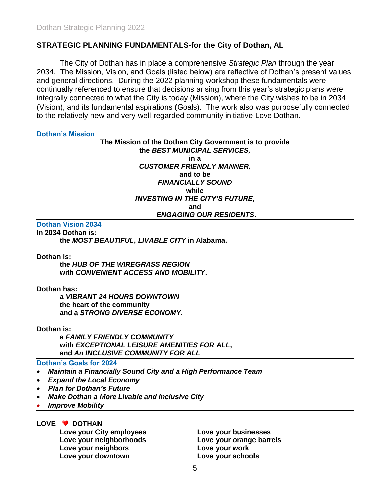#### **STRATEGIC PLANNING FUNDAMENTALS-for the City of Dothan, AL**

The City of Dothan has in place a comprehensive *Strategic Plan* through the year 2034. The Mission, Vision, and Goals (listed below) are reflective of Dothan's present values and general directions. During the 2022 planning workshop these fundamentals were continually referenced to ensure that decisions arising from this year's strategic plans were integrally connected to what the City is today (Mission), where the City wishes to be in 2034 (Vision), and its fundamental aspirations (Goals). The work also was purposefully connected to the relatively new and very well-regarded community initiative Love Dothan.

#### **Dothan's Mission**

**The Mission of the Dothan City Government is to provide the** *BEST MUNICIPAL SERVICES,* **in a** *CUSTOMER FRIENDLY MANNER,* **and to be** *FINANCIALLY SOUND* **while** *INVESTING IN THE CITY'S FUTURE,* **and** *ENGAGING OUR RESIDENTS.*

#### **Dothan Vision 2034**

**In 2034 Dothan is:** 

**the** *MOST BEAUTIFUL***,** *LIVABLE CITY* **in Alabama.**

#### **Dothan is:**

**the** *HUB OF THE WIREGRASS REGION*  **with** *CONVENIENT ACCESS AND MOBILITY***.**

#### **Dothan has:**

**a** *VIBRANT 24 HOURS DOWNTOWN* **the heart of the community and a** *STRONG DIVERSE ECONOMY.*

**Dothan is:** 

**a** *FAMILY FRIENDLY COMMUNITY* **with** *EXCEPTIONAL LEISURE AMENITIES FOR ALL***, and** *An INCLUSIVE COMMUNITY FOR ALL*

#### **Dothan's Goals for 2024**

- *Maintain a Financially Sound City and a High Performance Team*
- *Expand the Local Economy*
- *Plan for Dothan's Future*
- *Make Dothan a More Livable and Inclusive City*
- *Improve Mobility*

LOVE **V** DOTHAN

**Love your City employees Love your businesses Love your neighborhoods Love your orange barrels Love your neighbors Love your work Love your downtown Love your schools**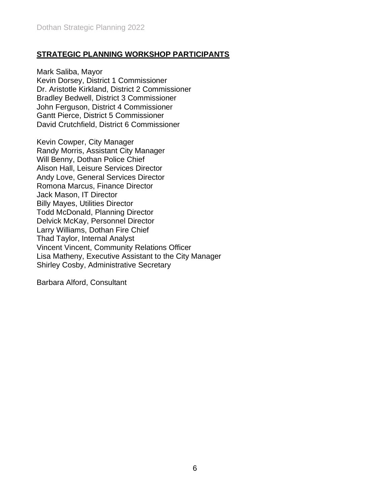#### **STRATEGIC PLANNING WORKSHOP PARTICIPANTS**

Mark Saliba, Mayor Kevin Dorsey, District 1 Commissioner Dr. Aristotle Kirkland, District 2 Commissioner Bradley Bedwell, District 3 Commissioner John Ferguson, District 4 Commissioner Gantt Pierce, District 5 Commissioner David Crutchfield, District 6 Commissioner

Kevin Cowper, City Manager Randy Morris, Assistant City Manager Will Benny, Dothan Police Chief Alison Hall, Leisure Services Director Andy Love, General Services Director Romona Marcus, Finance Director Jack Mason, IT Director Billy Mayes, Utilities Director Todd McDonald, Planning Director Delvick McKay, Personnel Director Larry Williams, Dothan Fire Chief Thad Taylor, Internal Analyst Vincent Vincent, Community Relations Officer Lisa Matheny, Executive Assistant to the City Manager Shirley Cosby, Administrative Secretary

Barbara Alford, Consultant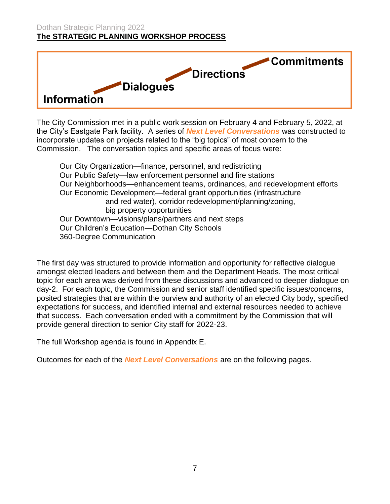#### Dothan Strategic Planning 2022 **The STRATEGIC PLANNING WORKSHOP PROCESS**



The City Commission met in a public work session on February 4 and February 5, 2022, at the City's Eastgate Park facility. A series of *Next Level Conversations* was constructed to incorporate updates on projects related to the "big topics" of most concern to the Commission. The conversation topics and specific areas of focus were:

Our City Organization—finance, personnel, and redistricting Our Public Safety—law enforcement personnel and fire stations Our Neighborhoods—enhancement teams, ordinances, and redevelopment efforts Our Economic Development—federal grant opportunities (infrastructure and red water), corridor redevelopment/planning/zoning, big property opportunities Our Downtown—visions/plans/partners and next steps Our Children's Education—Dothan City Schools 360-Degree Communication

The first day was structured to provide information and opportunity for reflective dialogue amongst elected leaders and between them and the Department Heads. The most critical topic for each area was derived from these discussions and advanced to deeper dialogue on day-2. For each topic, the Commission and senior staff identified specific issues/concerns, posited strategies that are within the purview and authority of an elected City body, specified expectations for success, and identified internal and external resources needed to achieve that success. Each conversation ended with a commitment by the Commission that will provide general direction to senior City staff for 2022-23.

The full Workshop agenda is found in Appendix E.

Outcomes for each of the *Next Level Conversations* are on the following pages.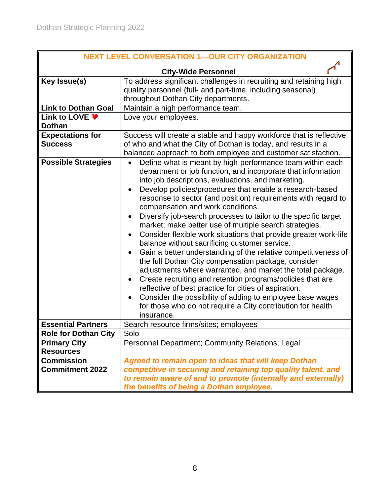| <b>NEXT LEVEL CONVERSATION 1-OUR CITY ORGANIZATION</b> |                                                                                                                                                                                                                                                                                                                                                                                                                                                                                                                                                                                                                                                                                                                                                                                                                                                                                                                                                                                                                                                                                       |  |  |  |
|--------------------------------------------------------|---------------------------------------------------------------------------------------------------------------------------------------------------------------------------------------------------------------------------------------------------------------------------------------------------------------------------------------------------------------------------------------------------------------------------------------------------------------------------------------------------------------------------------------------------------------------------------------------------------------------------------------------------------------------------------------------------------------------------------------------------------------------------------------------------------------------------------------------------------------------------------------------------------------------------------------------------------------------------------------------------------------------------------------------------------------------------------------|--|--|--|
|                                                        |                                                                                                                                                                                                                                                                                                                                                                                                                                                                                                                                                                                                                                                                                                                                                                                                                                                                                                                                                                                                                                                                                       |  |  |  |
| Key Issue(s)                                           | <b>City-Wide Personnel</b><br>To address significant challenges in recruiting and retaining high                                                                                                                                                                                                                                                                                                                                                                                                                                                                                                                                                                                                                                                                                                                                                                                                                                                                                                                                                                                      |  |  |  |
|                                                        | quality personnel (full- and part-time, including seasonal)                                                                                                                                                                                                                                                                                                                                                                                                                                                                                                                                                                                                                                                                                                                                                                                                                                                                                                                                                                                                                           |  |  |  |
|                                                        | throughout Dothan City departments.                                                                                                                                                                                                                                                                                                                                                                                                                                                                                                                                                                                                                                                                                                                                                                                                                                                                                                                                                                                                                                                   |  |  |  |
| <b>Link to Dothan Goal</b>                             | Maintain a high performance team.                                                                                                                                                                                                                                                                                                                                                                                                                                                                                                                                                                                                                                                                                                                                                                                                                                                                                                                                                                                                                                                     |  |  |  |
| Link to LOVE ♥                                         | Love your employees.                                                                                                                                                                                                                                                                                                                                                                                                                                                                                                                                                                                                                                                                                                                                                                                                                                                                                                                                                                                                                                                                  |  |  |  |
| <b>Dothan</b>                                          |                                                                                                                                                                                                                                                                                                                                                                                                                                                                                                                                                                                                                                                                                                                                                                                                                                                                                                                                                                                                                                                                                       |  |  |  |
| <b>Expectations for</b>                                | Success will create a stable and happy workforce that is reflective                                                                                                                                                                                                                                                                                                                                                                                                                                                                                                                                                                                                                                                                                                                                                                                                                                                                                                                                                                                                                   |  |  |  |
| <b>Success</b>                                         | of who and what the City of Dothan is today, and results in a                                                                                                                                                                                                                                                                                                                                                                                                                                                                                                                                                                                                                                                                                                                                                                                                                                                                                                                                                                                                                         |  |  |  |
|                                                        | balanced approach to both employee and customer satisfaction.                                                                                                                                                                                                                                                                                                                                                                                                                                                                                                                                                                                                                                                                                                                                                                                                                                                                                                                                                                                                                         |  |  |  |
| <b>Possible Strategies</b>                             | Define what is meant by high-performance team within each<br>$\bullet$<br>department or job function, and incorporate that information<br>into job descriptions, evaluations, and marketing.<br>Develop policies/procedures that enable a research-based<br>response to sector (and position) requirements with regard to<br>compensation and work conditions.<br>Diversify job-search processes to tailor to the specific target<br>$\bullet$<br>market; make better use of multiple search strategies.<br>Consider flexible work situations that provide greater work-life<br>balance without sacrificing customer service.<br>Gain a better understanding of the relative competitiveness of<br>the full Dothan City compensation package, consider<br>adjustments where warranted, and market the total package.<br>Create recruiting and retention programs/policies that are<br>reflective of best practice for cities of aspiration.<br>Consider the possibility of adding to employee base wages<br>for those who do not require a City contribution for health<br>insurance. |  |  |  |
| <b>Essential Partners</b>                              | Search resource firms/sites; employees                                                                                                                                                                                                                                                                                                                                                                                                                                                                                                                                                                                                                                                                                                                                                                                                                                                                                                                                                                                                                                                |  |  |  |
| <b>Role for Dothan City</b>                            | Solo                                                                                                                                                                                                                                                                                                                                                                                                                                                                                                                                                                                                                                                                                                                                                                                                                                                                                                                                                                                                                                                                                  |  |  |  |
| <b>Primary City</b>                                    | <b>Personnel Department: Community Relations: Legal</b>                                                                                                                                                                                                                                                                                                                                                                                                                                                                                                                                                                                                                                                                                                                                                                                                                                                                                                                                                                                                                               |  |  |  |
| <b>Resources</b><br><b>Commission</b>                  |                                                                                                                                                                                                                                                                                                                                                                                                                                                                                                                                                                                                                                                                                                                                                                                                                                                                                                                                                                                                                                                                                       |  |  |  |
| <b>Commitment 2022</b>                                 | Agreed to remain open to ideas that will keep Dothan                                                                                                                                                                                                                                                                                                                                                                                                                                                                                                                                                                                                                                                                                                                                                                                                                                                                                                                                                                                                                                  |  |  |  |
|                                                        | competitive in securing and retaining top quality talent, and<br>to remain aware of and to promote (internally and externally)                                                                                                                                                                                                                                                                                                                                                                                                                                                                                                                                                                                                                                                                                                                                                                                                                                                                                                                                                        |  |  |  |
|                                                        | the benefits of being a Dothan employee.                                                                                                                                                                                                                                                                                                                                                                                                                                                                                                                                                                                                                                                                                                                                                                                                                                                                                                                                                                                                                                              |  |  |  |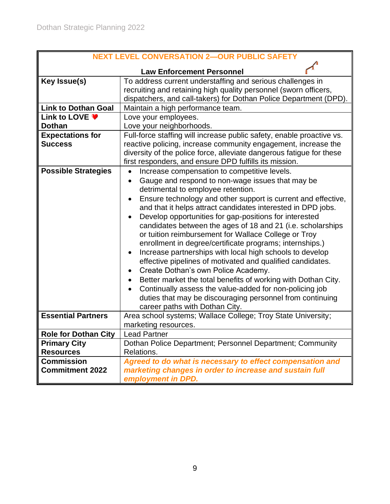| <b>NEXT LEVEL CONVERSATION 2-OUR PUBLIC SAFETY</b> |                                                                                                   |  |  |
|----------------------------------------------------|---------------------------------------------------------------------------------------------------|--|--|
|                                                    |                                                                                                   |  |  |
| Key Issue(s)                                       | <b>Law Enforcement Personnel</b><br>To address current understaffing and serious challenges in    |  |  |
|                                                    | recruiting and retaining high quality personnel (sworn officers,                                  |  |  |
|                                                    | dispatchers, and call-takers) for Dothan Police Department (DPD).                                 |  |  |
| <b>Link to Dothan Goal</b>                         | Maintain a high performance team.                                                                 |  |  |
| Link to LOVE ♥                                     | Love your employees.                                                                              |  |  |
| <b>Dothan</b>                                      | Love your neighborhoods.                                                                          |  |  |
| <b>Expectations for</b>                            | Full-force staffing will increase public safety, enable proactive vs.                             |  |  |
| <b>Success</b>                                     | reactive policing, increase community engagement, increase the                                    |  |  |
|                                                    | diversity of the police force, alleviate dangerous fatigue for these                              |  |  |
|                                                    | first responders, and ensure DPD fulfills its mission.                                            |  |  |
| <b>Possible Strategies</b>                         | Increase compensation to competitive levels.                                                      |  |  |
|                                                    | Gauge and respond to non-wage issues that may be<br>$\bullet$                                     |  |  |
|                                                    | detrimental to employee retention.                                                                |  |  |
|                                                    | Ensure technology and other support is current and effective,<br>$\bullet$                        |  |  |
|                                                    | and that it helps attract candidates interested in DPD jobs.                                      |  |  |
|                                                    | Develop opportunities for gap-positions for interested<br>$\bullet$                               |  |  |
|                                                    | candidates between the ages of 18 and 21 (i.e. scholarships                                       |  |  |
|                                                    | or tuition reimbursement for Wallace College or Troy                                              |  |  |
|                                                    | enrollment in degree/certificate programs; internships.)                                          |  |  |
|                                                    | Increase partnerships with local high schools to develop<br>$\bullet$                             |  |  |
|                                                    | effective pipelines of motivated and qualified candidates.<br>Create Dothan's own Police Academy. |  |  |
|                                                    | $\bullet$<br>Better market the total benefits of working with Dothan City.<br>$\bullet$           |  |  |
|                                                    | Continually assess the value-added for non-policing job<br>$\bullet$                              |  |  |
|                                                    | duties that may be discouraging personnel from continuing                                         |  |  |
|                                                    | career paths with Dothan City.                                                                    |  |  |
| <b>Essential Partners</b>                          | Area school systems; Wallace College; Troy State University;                                      |  |  |
|                                                    | marketing resources.                                                                              |  |  |
| <b>Role for Dothan City</b>                        | <b>Lead Partner</b>                                                                               |  |  |
| <b>Primary City</b>                                | Dothan Police Department; Personnel Department; Community                                         |  |  |
| <b>Resources</b>                                   | Relations.                                                                                        |  |  |
| <b>Commission</b>                                  | Agreed to do what is necessary to effect compensation and                                         |  |  |
| <b>Commitment 2022</b>                             | marketing changes in order to increase and sustain full                                           |  |  |
|                                                    | employment in DPD.                                                                                |  |  |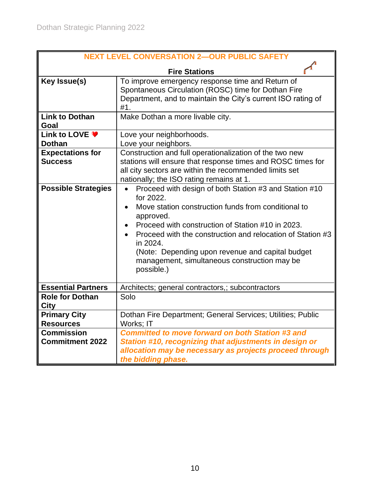| <b>NEXT LEVEL CONVERSATION 2-OUR PUBLIC SAFETY</b> |                                                                                                                                                                                                                                                                                                                                                                                          |  |  |
|----------------------------------------------------|------------------------------------------------------------------------------------------------------------------------------------------------------------------------------------------------------------------------------------------------------------------------------------------------------------------------------------------------------------------------------------------|--|--|
|                                                    | <b>Fire Stations</b>                                                                                                                                                                                                                                                                                                                                                                     |  |  |
| Key Issue(s)                                       | To improve emergency response time and Return of<br>Spontaneous Circulation (ROSC) time for Dothan Fire<br>Department, and to maintain the City's current ISO rating of<br>#1.                                                                                                                                                                                                           |  |  |
| <b>Link to Dothan</b><br>Goal                      | Make Dothan a more livable city.                                                                                                                                                                                                                                                                                                                                                         |  |  |
| Link to LOVE ♥<br><b>Dothan</b>                    | Love your neighborhoods.<br>Love your neighbors.                                                                                                                                                                                                                                                                                                                                         |  |  |
| <b>Expectations for</b><br><b>Success</b>          | Construction and full operationalization of the two new<br>stations will ensure that response times and ROSC times for<br>all city sectors are within the recommended limits set<br>nationally; the ISO rating remains at 1.                                                                                                                                                             |  |  |
| <b>Possible Strategies</b>                         | Proceed with design of both Station #3 and Station #10<br>for 2022.<br>Move station construction funds from conditional to<br>approved.<br>Proceed with construction of Station #10 in 2023.<br>Proceed with the construction and relocation of Station #3<br>in 2024.<br>(Note: Depending upon revenue and capital budget<br>management, simultaneous construction may be<br>possible.) |  |  |
| <b>Essential Partners</b>                          | Architects; general contractors,; subcontractors                                                                                                                                                                                                                                                                                                                                         |  |  |
| <b>Role for Dothan</b><br><b>City</b>              | Solo                                                                                                                                                                                                                                                                                                                                                                                     |  |  |
| <b>Primary City</b><br><b>Resources</b>            | Dothan Fire Department; General Services; Utilities; Public<br>Works: IT                                                                                                                                                                                                                                                                                                                 |  |  |
| <b>Commission</b><br><b>Commitment 2022</b>        | <b>Committed to move forward on both Station #3 and</b><br>Station #10, recognizing that adjustments in design or<br>allocation may be necessary as projects proceed through<br>the bidding phase.                                                                                                                                                                                       |  |  |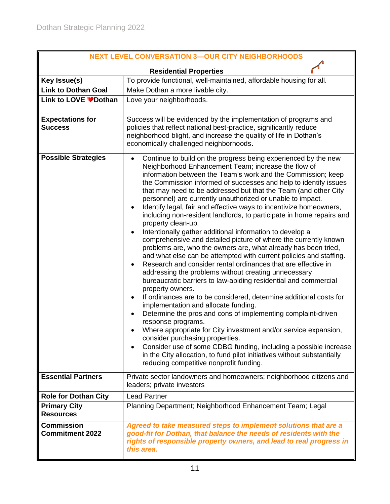| <b>NEXT LEVEL CONVERSATION 3-OUR CITY NEIGHBORHOODS</b>                 |                                                                                                                                                                                                                                                                                                                                                                                                                                                                                                                                                                                                                                                                                                                                                                                                                                                                                                                                                                                                                                                                                                                                                                                                                                                                                                                                                                                                                                                                                                                                           |  |  |
|-------------------------------------------------------------------------|-------------------------------------------------------------------------------------------------------------------------------------------------------------------------------------------------------------------------------------------------------------------------------------------------------------------------------------------------------------------------------------------------------------------------------------------------------------------------------------------------------------------------------------------------------------------------------------------------------------------------------------------------------------------------------------------------------------------------------------------------------------------------------------------------------------------------------------------------------------------------------------------------------------------------------------------------------------------------------------------------------------------------------------------------------------------------------------------------------------------------------------------------------------------------------------------------------------------------------------------------------------------------------------------------------------------------------------------------------------------------------------------------------------------------------------------------------------------------------------------------------------------------------------------|--|--|
| <b>Residential Properties</b>                                           |                                                                                                                                                                                                                                                                                                                                                                                                                                                                                                                                                                                                                                                                                                                                                                                                                                                                                                                                                                                                                                                                                                                                                                                                                                                                                                                                                                                                                                                                                                                                           |  |  |
| Key Issue(s)                                                            | To provide functional, well-maintained, affordable housing for all.                                                                                                                                                                                                                                                                                                                                                                                                                                                                                                                                                                                                                                                                                                                                                                                                                                                                                                                                                                                                                                                                                                                                                                                                                                                                                                                                                                                                                                                                       |  |  |
| <b>Link to Dothan Goal</b>                                              | Make Dothan a more livable city.                                                                                                                                                                                                                                                                                                                                                                                                                                                                                                                                                                                                                                                                                                                                                                                                                                                                                                                                                                                                                                                                                                                                                                                                                                                                                                                                                                                                                                                                                                          |  |  |
| Link to LOVE <sup>●</sup> Dothan                                        | Love your neighborhoods.                                                                                                                                                                                                                                                                                                                                                                                                                                                                                                                                                                                                                                                                                                                                                                                                                                                                                                                                                                                                                                                                                                                                                                                                                                                                                                                                                                                                                                                                                                                  |  |  |
| <b>Expectations for</b><br><b>Success</b><br><b>Possible Strategies</b> | Success will be evidenced by the implementation of programs and<br>policies that reflect national best-practice, significantly reduce<br>neighborhood blight, and increase the quality of life in Dothan's<br>economically challenged neighborhoods.<br>Continue to build on the progress being experienced by the new<br>$\bullet$<br>Neighborhood Enhancement Team; increase the flow of<br>information between the Team's work and the Commission; keep<br>the Commission informed of successes and help to identify issues<br>that may need to be addressed but that the Team (and other City<br>personnel) are currently unauthorized or unable to impact.<br>Identify legal, fair and effective ways to incentivize homeowners,<br>$\bullet$<br>including non-resident landlords, to participate in home repairs and<br>property clean-up.<br>Intentionally gather additional information to develop a<br>٠<br>comprehensive and detailed picture of where the currently known<br>problems are, who the owners are, what already has been tried,<br>and what else can be attempted with current policies and staffing.<br>Research and consider rental ordinances that are effective in<br>٠<br>addressing the problems without creating unnecessary<br>bureaucratic barriers to law-abiding residential and commercial<br>property owners.<br>If ordinances are to be considered, determine additional costs for<br>٠<br>implementation and allocate funding.<br>Determine the pros and cons of implementing complaint-driven<br>٠ |  |  |
|                                                                         | response programs.<br>Where appropriate for City investment and/or service expansion,<br>consider purchasing properties.<br>Consider use of some CDBG funding, including a possible increase<br>in the City allocation, to fund pilot initiatives without substantially<br>reducing competitive nonprofit funding.                                                                                                                                                                                                                                                                                                                                                                                                                                                                                                                                                                                                                                                                                                                                                                                                                                                                                                                                                                                                                                                                                                                                                                                                                        |  |  |
| <b>Essential Partners</b>                                               | Private sector landowners and homeowners; neighborhood citizens and<br>leaders; private investors                                                                                                                                                                                                                                                                                                                                                                                                                                                                                                                                                                                                                                                                                                                                                                                                                                                                                                                                                                                                                                                                                                                                                                                                                                                                                                                                                                                                                                         |  |  |
| <b>Role for Dothan City</b>                                             | <b>Lead Partner</b>                                                                                                                                                                                                                                                                                                                                                                                                                                                                                                                                                                                                                                                                                                                                                                                                                                                                                                                                                                                                                                                                                                                                                                                                                                                                                                                                                                                                                                                                                                                       |  |  |
| <b>Primary City</b><br><b>Resources</b>                                 | Planning Department; Neighborhood Enhancement Team; Legal                                                                                                                                                                                                                                                                                                                                                                                                                                                                                                                                                                                                                                                                                                                                                                                                                                                                                                                                                                                                                                                                                                                                                                                                                                                                                                                                                                                                                                                                                 |  |  |
| <b>Commission</b><br><b>Commitment 2022</b>                             | Agreed to take measured steps to implement solutions that are a<br>good-fit for Dothan, that balance the needs of residents with the<br>rights of responsible property owners, and lead to real progress in<br>this area.                                                                                                                                                                                                                                                                                                                                                                                                                                                                                                                                                                                                                                                                                                                                                                                                                                                                                                                                                                                                                                                                                                                                                                                                                                                                                                                 |  |  |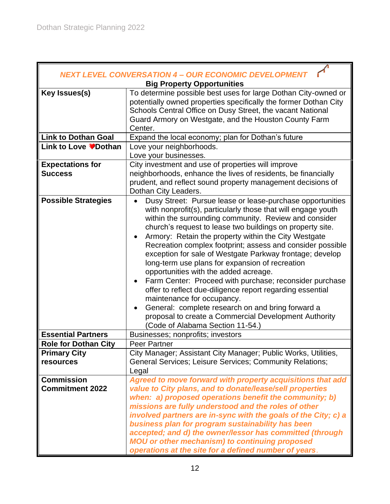|                             | NEXT LEVEL CONVERSATION 4 – OUR ECONOMIC DEVELOPMENT<br><b>Big Property Opportunities</b>                                                                                                                                                                                                                                                                                                                                                                                                                                                                                                                                                                                                                                                                                                                                   |  |  |
|-----------------------------|-----------------------------------------------------------------------------------------------------------------------------------------------------------------------------------------------------------------------------------------------------------------------------------------------------------------------------------------------------------------------------------------------------------------------------------------------------------------------------------------------------------------------------------------------------------------------------------------------------------------------------------------------------------------------------------------------------------------------------------------------------------------------------------------------------------------------------|--|--|
|                             |                                                                                                                                                                                                                                                                                                                                                                                                                                                                                                                                                                                                                                                                                                                                                                                                                             |  |  |
| Key Issues(s)               | To determine possible best uses for large Dothan City-owned or                                                                                                                                                                                                                                                                                                                                                                                                                                                                                                                                                                                                                                                                                                                                                              |  |  |
|                             | potentially owned properties specifically the former Dothan City                                                                                                                                                                                                                                                                                                                                                                                                                                                                                                                                                                                                                                                                                                                                                            |  |  |
|                             | Schools Central Office on Dusy Street, the vacant National                                                                                                                                                                                                                                                                                                                                                                                                                                                                                                                                                                                                                                                                                                                                                                  |  |  |
|                             | Guard Armory on Westgate, and the Houston County Farm<br>Center.                                                                                                                                                                                                                                                                                                                                                                                                                                                                                                                                                                                                                                                                                                                                                            |  |  |
| <b>Link to Dothan Goal</b>  | Expand the local economy; plan for Dothan's future                                                                                                                                                                                                                                                                                                                                                                                                                                                                                                                                                                                                                                                                                                                                                                          |  |  |
| <b>Link to Love ♥Dothan</b> | Love your neighborhoods.                                                                                                                                                                                                                                                                                                                                                                                                                                                                                                                                                                                                                                                                                                                                                                                                    |  |  |
|                             | Love your businesses.                                                                                                                                                                                                                                                                                                                                                                                                                                                                                                                                                                                                                                                                                                                                                                                                       |  |  |
| <b>Expectations for</b>     | City investment and use of properties will improve                                                                                                                                                                                                                                                                                                                                                                                                                                                                                                                                                                                                                                                                                                                                                                          |  |  |
| <b>Success</b>              | neighborhoods, enhance the lives of residents, be financially                                                                                                                                                                                                                                                                                                                                                                                                                                                                                                                                                                                                                                                                                                                                                               |  |  |
|                             | prudent, and reflect sound property management decisions of                                                                                                                                                                                                                                                                                                                                                                                                                                                                                                                                                                                                                                                                                                                                                                 |  |  |
|                             | Dothan City Leaders.                                                                                                                                                                                                                                                                                                                                                                                                                                                                                                                                                                                                                                                                                                                                                                                                        |  |  |
| <b>Possible Strategies</b>  | Dusy Street: Pursue lease or lease-purchase opportunities<br>with nonprofit(s), particularly those that will engage youth<br>within the surrounding community. Review and consider<br>church's request to lease two buildings on property site.<br>Armory: Retain the property within the City Westgate<br>Recreation complex footprint; assess and consider possible<br>exception for sale of Westgate Parkway frontage; develop<br>long-term use plans for expansion of recreation<br>opportunities with the added acreage.<br>Farm Center: Proceed with purchase; reconsider purchase<br>$\bullet$<br>offer to reflect due-diligence report regarding essential<br>maintenance for occupancy.<br>General: complete research on and bring forward a<br>$\bullet$<br>proposal to create a Commercial Development Authority |  |  |
| <b>Essential Partners</b>   | (Code of Alabama Section 11-54.)<br>Businesses; nonprofits; investors                                                                                                                                                                                                                                                                                                                                                                                                                                                                                                                                                                                                                                                                                                                                                       |  |  |
| <b>Role for Dothan City</b> | <b>Peer Partner</b>                                                                                                                                                                                                                                                                                                                                                                                                                                                                                                                                                                                                                                                                                                                                                                                                         |  |  |
| <b>Primary City</b>         | City Manager; Assistant City Manager; Public Works, Utilities,                                                                                                                                                                                                                                                                                                                                                                                                                                                                                                                                                                                                                                                                                                                                                              |  |  |
| resources                   | General Services; Leisure Services; Community Relations;                                                                                                                                                                                                                                                                                                                                                                                                                                                                                                                                                                                                                                                                                                                                                                    |  |  |
|                             | Legal                                                                                                                                                                                                                                                                                                                                                                                                                                                                                                                                                                                                                                                                                                                                                                                                                       |  |  |
| <b>Commission</b>           | Agreed to move forward with property acquisitions that add                                                                                                                                                                                                                                                                                                                                                                                                                                                                                                                                                                                                                                                                                                                                                                  |  |  |
| <b>Commitment 2022</b>      | value to City plans, and to donate/lease/sell properties                                                                                                                                                                                                                                                                                                                                                                                                                                                                                                                                                                                                                                                                                                                                                                    |  |  |
|                             | when: a) proposed operations benefit the community; b)                                                                                                                                                                                                                                                                                                                                                                                                                                                                                                                                                                                                                                                                                                                                                                      |  |  |
|                             | missions are fully understood and the roles of other                                                                                                                                                                                                                                                                                                                                                                                                                                                                                                                                                                                                                                                                                                                                                                        |  |  |
|                             | involved partners are in-sync with the goals of the City; c) a                                                                                                                                                                                                                                                                                                                                                                                                                                                                                                                                                                                                                                                                                                                                                              |  |  |
|                             | business plan for program sustainability has been                                                                                                                                                                                                                                                                                                                                                                                                                                                                                                                                                                                                                                                                                                                                                                           |  |  |
|                             | accepted; and d) the owner/lessor has committed (through                                                                                                                                                                                                                                                                                                                                                                                                                                                                                                                                                                                                                                                                                                                                                                    |  |  |
|                             | <b>MOU</b> or other mechanism) to continuing proposed                                                                                                                                                                                                                                                                                                                                                                                                                                                                                                                                                                                                                                                                                                                                                                       |  |  |
|                             | operations at the site for a defined number of years.                                                                                                                                                                                                                                                                                                                                                                                                                                                                                                                                                                                                                                                                                                                                                                       |  |  |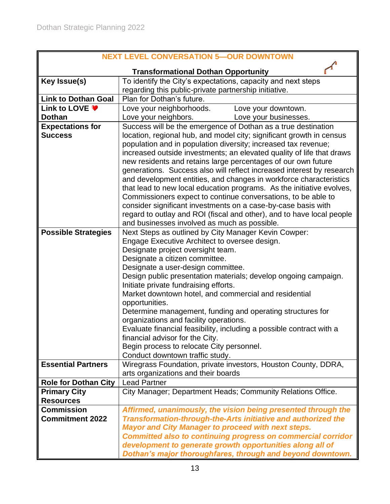| <b>NEXT LEVEL CONVERSATION 5-OUR DOWNTOWN</b> |                                                                                                                                |  |  |  |
|-----------------------------------------------|--------------------------------------------------------------------------------------------------------------------------------|--|--|--|
|                                               | <b>Transformational Dothan Opportunity</b>                                                                                     |  |  |  |
| Key Issue(s)                                  | To identify the City's expectations, capacity and next steps                                                                   |  |  |  |
|                                               | regarding this public-private partnership initiative.                                                                          |  |  |  |
| <b>Link to Dothan Goal</b>                    | Plan for Dothan's future.                                                                                                      |  |  |  |
| Link to LOVE ♥                                | Love your neighborhoods.<br>Love your downtown.                                                                                |  |  |  |
| <b>Dothan</b>                                 | Love your businesses.<br>Love your neighbors.                                                                                  |  |  |  |
| <b>Expectations for</b>                       | Success will be the emergence of Dothan as a true destination                                                                  |  |  |  |
| <b>Success</b>                                | location, regional hub, and model city; significant growth in census                                                           |  |  |  |
|                                               | population and in population diversity; increased tax revenue;                                                                 |  |  |  |
|                                               | increased outside investments; an elevated quality of life that draws                                                          |  |  |  |
|                                               | new residents and retains large percentages of our own future                                                                  |  |  |  |
|                                               | generations. Success also will reflect increased interest by research                                                          |  |  |  |
|                                               | and development entities, and changes in workforce characteristics                                                             |  |  |  |
|                                               | that lead to new local education programs. As the initiative evolves,                                                          |  |  |  |
|                                               | Commissioners expect to continue conversations, to be able to<br>consider significant investments on a case-by-case basis with |  |  |  |
|                                               | regard to outlay and ROI (fiscal and other), and to have local people                                                          |  |  |  |
|                                               | and businesses involved as much as possible.                                                                                   |  |  |  |
| <b>Possible Strategies</b>                    | Next Steps as outlined by City Manager Kevin Cowper:                                                                           |  |  |  |
|                                               | Engage Executive Architect to oversee design.                                                                                  |  |  |  |
|                                               | Designate project oversight team.                                                                                              |  |  |  |
|                                               | Designate a citizen committee.                                                                                                 |  |  |  |
|                                               | Designate a user-design committee.                                                                                             |  |  |  |
|                                               | Design public presentation materials; develop ongoing campaign.                                                                |  |  |  |
|                                               | Initiate private fundraising efforts.                                                                                          |  |  |  |
|                                               | Market downtown hotel, and commercial and residential                                                                          |  |  |  |
|                                               | opportunities.                                                                                                                 |  |  |  |
|                                               | Determine management, funding and operating structures for                                                                     |  |  |  |
|                                               | organizations and facility operations.                                                                                         |  |  |  |
|                                               | Evaluate financial feasibility, including a possible contract with a                                                           |  |  |  |
|                                               | financial advisor for the City.                                                                                                |  |  |  |
|                                               | Begin process to relocate City personnel.                                                                                      |  |  |  |
|                                               | Conduct downtown traffic study.                                                                                                |  |  |  |
| <b>Essential Partners</b>                     | Wiregrass Foundation, private investors, Houston County, DDRA,                                                                 |  |  |  |
|                                               | arts organizations and their boards                                                                                            |  |  |  |
| <b>Role for Dothan City</b>                   | <b>Lead Partner</b>                                                                                                            |  |  |  |
| <b>Primary City</b><br><b>Resources</b>       | City Manager; Department Heads; Community Relations Office.                                                                    |  |  |  |
| <b>Commission</b>                             | Affirmed, unanimously, the vision being presented through the                                                                  |  |  |  |
| <b>Commitment 2022</b>                        | Transformation-through-the-Arts initiative and authorized the                                                                  |  |  |  |
|                                               | <b>Mayor and City Manager to proceed with next steps.</b>                                                                      |  |  |  |
|                                               | <b>Committed also to continuing progress on commercial corridor</b>                                                            |  |  |  |
|                                               | development to generate growth opportunities along all of                                                                      |  |  |  |
|                                               | Dothan's major thoroughfares, through and beyond downtown.                                                                     |  |  |  |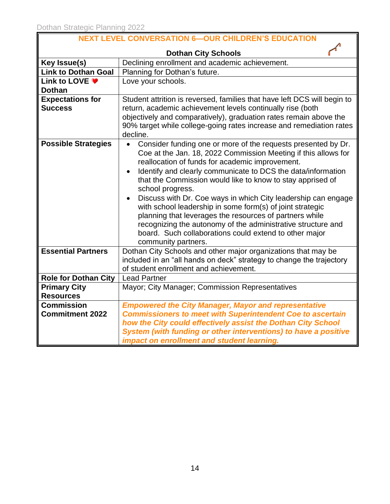| <b>NEXT LEVEL CONVERSATION 6-OUR CHILDREN'S EDUCATION</b> |                                                                                                                                        |  |  |
|-----------------------------------------------------------|----------------------------------------------------------------------------------------------------------------------------------------|--|--|
|                                                           | <b>Dothan City Schools</b>                                                                                                             |  |  |
| Key Issue(s)                                              | Declining enrollment and academic achievement.                                                                                         |  |  |
| <b>Link to Dothan Goal</b>                                | Planning for Dothan's future.                                                                                                          |  |  |
| Link to LOVE ♥                                            |                                                                                                                                        |  |  |
| <b>Dothan</b>                                             | Love your schools.                                                                                                                     |  |  |
| <b>Expectations for</b>                                   |                                                                                                                                        |  |  |
| <b>Success</b>                                            | Student attrition is reversed, families that have left DCS will begin to<br>return, academic achievement levels continually rise (both |  |  |
|                                                           | objectively and comparatively), graduation rates remain above the                                                                      |  |  |
|                                                           | 90% target while college-going rates increase and remediation rates                                                                    |  |  |
|                                                           | decline.                                                                                                                               |  |  |
| <b>Possible Strategies</b>                                |                                                                                                                                        |  |  |
|                                                           | Consider funding one or more of the requests presented by Dr.                                                                          |  |  |
|                                                           | Coe at the Jan. 18, 2022 Commission Meeting if this allows for                                                                         |  |  |
|                                                           | reallocation of funds for academic improvement.                                                                                        |  |  |
|                                                           | Identify and clearly communicate to DCS the data/information                                                                           |  |  |
|                                                           | that the Commission would like to know to stay apprised of                                                                             |  |  |
|                                                           | school progress.<br>Discuss with Dr. Coe ways in which City leadership can engage                                                      |  |  |
|                                                           |                                                                                                                                        |  |  |
|                                                           | with school leadership in some form(s) of joint strategic                                                                              |  |  |
|                                                           | planning that leverages the resources of partners while                                                                                |  |  |
|                                                           | recognizing the autonomy of the administrative structure and<br>board. Such collaborations could extend to other major                 |  |  |
|                                                           |                                                                                                                                        |  |  |
| <b>Essential Partners</b>                                 | community partners.<br>Dothan City Schools and other major organizations that may be                                                   |  |  |
|                                                           | included in an "all hands on deck" strategy to change the trajectory                                                                   |  |  |
|                                                           | of student enrollment and achievement.                                                                                                 |  |  |
| <b>Role for Dothan City</b>                               |                                                                                                                                        |  |  |
|                                                           | <b>Lead Partner</b>                                                                                                                    |  |  |
| <b>Primary City</b>                                       | Mayor; City Manager; Commission Representatives                                                                                        |  |  |
| <b>Resources</b>                                          |                                                                                                                                        |  |  |
| <b>Commission</b>                                         | <b>Empowered the City Manager, Mayor and representative</b>                                                                            |  |  |
| <b>Commitment 2022</b>                                    | <b>Commissioners to meet with Superintendent Coe to ascertain</b>                                                                      |  |  |
|                                                           | how the City could effectively assist the Dothan City School                                                                           |  |  |
|                                                           | System (with funding or other interventions) to have a positive                                                                        |  |  |
|                                                           | impact on enrollment and student learning.                                                                                             |  |  |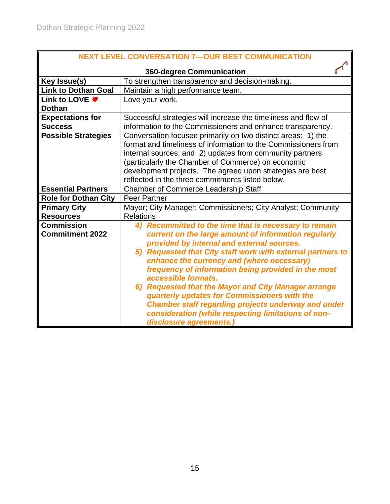| <b>NEXT LEVEL CONVERSATION 7-OUR BEST COMMUNICATION</b> |                                                                |  |  |  |
|---------------------------------------------------------|----------------------------------------------------------------|--|--|--|
| <b>360-degree Communication</b>                         |                                                                |  |  |  |
| Key Issue(s)                                            | To strengthen transparency and decision-making.                |  |  |  |
| <b>Link to Dothan Goal</b>                              | Maintain a high performance team.                              |  |  |  |
| Link to LOVE ♥                                          | Love your work.                                                |  |  |  |
| <b>Dothan</b>                                           |                                                                |  |  |  |
| <b>Expectations for</b>                                 | Successful strategies will increase the timeliness and flow of |  |  |  |
| <b>Success</b>                                          | information to the Commissioners and enhance transparency.     |  |  |  |
| <b>Possible Strategies</b>                              | Conversation focused primarily on two distinct areas: 1) the   |  |  |  |
|                                                         | format and timeliness of information to the Commissioners from |  |  |  |
|                                                         | internal sources; and 2) updates from community partners       |  |  |  |
|                                                         | (particularly the Chamber of Commerce) on economic             |  |  |  |
|                                                         | development projects. The agreed upon strategies are best      |  |  |  |
|                                                         | reflected in the three commitments listed below.               |  |  |  |
| <b>Essential Partners</b>                               | <b>Chamber of Commerce Leadership Staff</b>                    |  |  |  |
| <b>Role for Dothan City</b>                             | <b>Peer Partner</b>                                            |  |  |  |
| <b>Primary City</b>                                     | Mayor; City Manager; Commissioners; City Analyst; Community    |  |  |  |
| <b>Resources</b>                                        | <b>Relations</b>                                               |  |  |  |
| <b>Commission</b>                                       | Recommitted to the time that is necessary to remain<br>4)      |  |  |  |
| <b>Commitment 2022</b>                                  | current on the large amount of information regularly           |  |  |  |
|                                                         | provided by internal and external sources.                     |  |  |  |
|                                                         | 5) Requested that City staff work with external partners to    |  |  |  |
|                                                         | enhance the currency and (where necessary)                     |  |  |  |
|                                                         | frequency of information being provided in the most            |  |  |  |
|                                                         | accessible formats.                                            |  |  |  |
|                                                         | 6) Requested that the Mayor and City Manager arrange           |  |  |  |
|                                                         | quarterly updates for Commissioners with the                   |  |  |  |
|                                                         | <b>Chamber staff regarding projects underway and under</b>     |  |  |  |
|                                                         | consideration (while respecting limitations of non-            |  |  |  |
|                                                         | disclosure agreements.)                                        |  |  |  |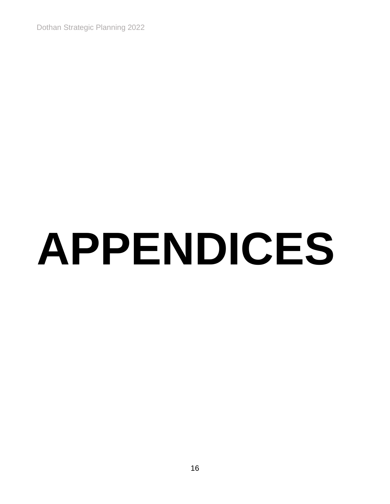Dothan Strategic Planning 2022

# **APPENDICES**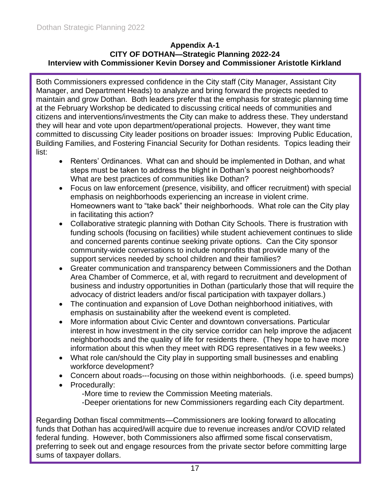#### **Appendix A-1 CITY OF DOTHAN—Strategic Planning 2022-24 Interview with Commissioner Kevin Dorsey and Commissioner Aristotle Kirkland**

Both Commissioners expressed confidence in the City staff (City Manager, Assistant City Manager, and Department Heads) to analyze and bring forward the projects needed to maintain and grow Dothan. Both leaders prefer that the emphasis for strategic planning time at the February Workshop be dedicated to discussing critical needs of communities and citizens and interventions/investments the City can make to address these. They understand they will hear and vote upon department/operational projects. However, they want time committed to discussing City leader positions on broader issues: Improving Public Education, Building Families, and Fostering Financial Security for Dothan residents. Topics leading their list:

- Renters' Ordinances. What can and should be implemented in Dothan, and what steps must be taken to address the blight in Dothan's poorest neighborhoods? What are best practices of communities like Dothan?
- Focus on law enforcement (presence, visibility, and officer recruitment) with special emphasis on neighborhoods experiencing an increase in violent crime. Homeowners want to "take back" their neighborhoods. What role can the City play in facilitating this action?
- Collaborative strategic planning with Dothan City Schools. There is frustration with funding schools (focusing on facilities) while student achievement continues to slide and concerned parents continue seeking private options. Can the City sponsor community-wide conversations to include nonprofits that provide many of the support services needed by school children and their families?
- Greater communication and transparency between Commissioners and the Dothan Area Chamber of Commerce, et al, with regard to recruitment and development of business and industry opportunities in Dothan (particularly those that will require the advocacy of district leaders and/or fiscal participation with taxpayer dollars.)
- The continuation and expansion of Love Dothan neighborhood initiatives, with emphasis on sustainability after the weekend event is completed.
- More information about Civic Center and downtown conversations. Particular interest in how investment in the city service corridor can help improve the adjacent neighborhoods and the quality of life for residents there. (They hope to have more information about this when they meet with RDG representatives in a few weeks.)
- What role can/should the City play in supporting small businesses and enabling workforce development?
- Concern about roads---focusing on those within neighborhoods. (i.e. speed bumps)
- Procedurally:
	- -More time to review the Commission Meeting materials.
	- -Deeper orientations for new Commissioners regarding each City department.

Regarding Dothan fiscal commitments—Commissioners are looking forward to allocating funds that Dothan has acquired/will acquire due to revenue increases and/or COVID related federal funding. However, both Commissioners also affirmed some fiscal conservatism, preferring to seek out and engage resources from the private sector before committing large sums of taxpayer dollars.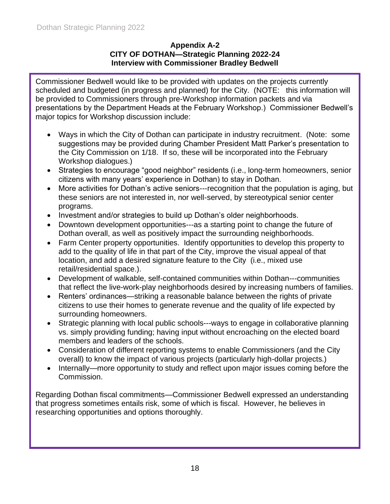#### **Appendix A-2 CITY OF DOTHAN—Strategic Planning 2022-24 Interview with Commissioner Bradley Bedwell**

Commissioner Bedwell would like to be provided with updates on the projects currently scheduled and budgeted (in progress and planned) for the City. (NOTE: this information will be provided to Commissioners through pre-Workshop information packets and via presentations by the Department Heads at the February Workshop.) Commissioner Bedwell's major topics for Workshop discussion include:

- Ways in which the City of Dothan can participate in industry recruitment. (Note: some suggestions may be provided during Chamber President Matt Parker's presentation to the City Commission on 1/18. If so, these will be incorporated into the February Workshop dialogues.)
- Strategies to encourage "good neighbor" residents (i.e., long-term homeowners, senior citizens with many years' experience in Dothan) to stay in Dothan.
- More activities for Dothan's active seniors---recognition that the population is aging, but these seniors are not interested in, nor well-served, by stereotypical senior center programs.
- Investment and/or strategies to build up Dothan's older neighborhoods.
- Downtown development opportunities---as a starting point to change the future of Dothan overall, as well as positively impact the surrounding neighborhoods.
- Farm Center property opportunities. Identify opportunities to develop this property to add to the quality of life in that part of the City, improve the visual appeal of that location, and add a desired signature feature to the City (i.e., mixed use retail/residential space.).
- Development of walkable, self-contained communities within Dothan---communities that reflect the live-work-play neighborhoods desired by increasing numbers of families.
- Renters' ordinances—striking a reasonable balance between the rights of private citizens to use their homes to generate revenue and the quality of life expected by surrounding homeowners.
- Strategic planning with local public schools---ways to engage in collaborative planning vs. simply providing funding; having input without encroaching on the elected board members and leaders of the schools.
- Consideration of different reporting systems to enable Commissioners (and the City overall) to know the impact of various projects (particularly high-dollar projects.)
- Internally—more opportunity to study and reflect upon major issues coming before the Commission.

Regarding Dothan fiscal commitments—Commissioner Bedwell expressed an understanding that progress sometimes entails risk, some of which is fiscal. However, he believes in researching opportunities and options thoroughly.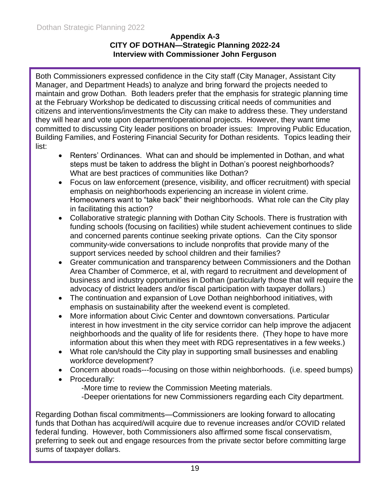#### **Appendix A-3 CITY OF DOTHAN—Strategic Planning 2022-24 Interview with Commissioner John Ferguson**

Both Commissioners expressed confidence in the City staff (City Manager, Assistant City Manager, and Department Heads) to analyze and bring forward the projects needed to maintain and grow Dothan. Both leaders prefer that the emphasis for strategic planning time at the February Workshop be dedicated to discussing critical needs of communities and citizens and interventions/investments the City can make to address these. They understand they will hear and vote upon department/operational projects. However, they want time committed to discussing City leader positions on broader issues: Improving Public Education, Building Families, and Fostering Financial Security for Dothan residents. Topics leading their list:

- Renters' Ordinances. What can and should be implemented in Dothan, and what steps must be taken to address the blight in Dothan's poorest neighborhoods? What are best practices of communities like Dothan?
- Focus on law enforcement (presence, visibility, and officer recruitment) with special emphasis on neighborhoods experiencing an increase in violent crime. Homeowners want to "take back" their neighborhoods. What role can the City play in facilitating this action?
- Collaborative strategic planning with Dothan City Schools. There is frustration with funding schools (focusing on facilities) while student achievement continues to slide and concerned parents continue seeking private options. Can the City sponsor community-wide conversations to include nonprofits that provide many of the support services needed by school children and their families?
- Greater communication and transparency between Commissioners and the Dothan Area Chamber of Commerce, et al, with regard to recruitment and development of business and industry opportunities in Dothan (particularly those that will require the advocacy of district leaders and/or fiscal participation with taxpayer dollars.)
- The continuation and expansion of Love Dothan neighborhood initiatives, with emphasis on sustainability after the weekend event is completed.
- More information about Civic Center and downtown conversations. Particular interest in how investment in the city service corridor can help improve the adjacent neighborhoods and the quality of life for residents there. (They hope to have more information about this when they meet with RDG representatives in a few weeks.)
- What role can/should the City play in supporting small businesses and enabling workforce development?
- Concern about roads---focusing on those within neighborhoods. (i.e. speed bumps)
- Procedurally:
	- -More time to review the Commission Meeting materials.
	- -Deeper orientations for new Commissioners regarding each City department.

Regarding Dothan fiscal commitments—Commissioners are looking forward to allocating funds that Dothan has acquired/will acquire due to revenue increases and/or COVID related federal funding. However, both Commissioners also affirmed some fiscal conservatism, preferring to seek out and engage resources from the private sector before committing large sums of taxpayer dollars.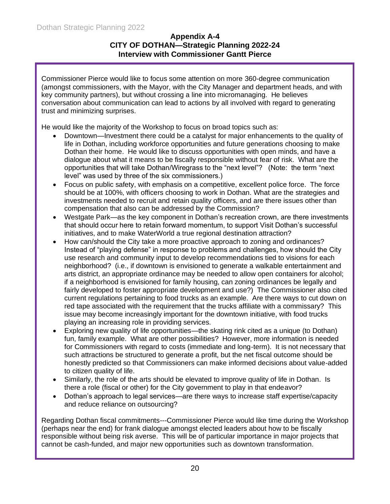#### **Appendix A-4 CITY OF DOTHAN—Strategic Planning 2022-24 Interview with Commissioner Gantt Pierce**

Commissioner Pierce would like to focus some attention on more 360-degree communication (amongst commissioners, with the Mayor, with the City Manager and department heads, and with key community partners), but without crossing a line into micromanaging. He believes conversation about communication can lead to actions by all involved with regard to generating trust and minimizing surprises.

He would like the majority of the Workshop to focus on broad topics such as:

- Downtown—Investment there could be a catalyst for major enhancements to the quality of life in Dothan, including workforce opportunities and future generations choosing to make Dothan their home. He would like to discuss opportunities with open minds, and have a dialogue about what it means to be fiscally responsible without fear of risk. What are the opportunities that will take Dothan/Wiregrass to the "next level"? (Note: the term "next level" was used by three of the six commissioners.)
- Focus on public safety, with emphasis on a competitive, excellent police force. The force should be at 100%, with officers choosing to work in Dothan. What are the strategies and investments needed to recruit and retain quality officers, and are there issues other than compensation that also can be addressed by the Commission?
- Westgate Park—as the key component in Dothan's recreation crown, are there investments that should occur here to retain forward momentum, to support Visit Dothan's successful initiatives, and to make WaterWorld a true regional destination attraction?
- How can/should the City take a more proactive approach to zoning and ordinances? Instead of "playing defense" in response to problems and challenges, how should the City use research and community input to develop recommendations tied to visions for each neighborhood? (i.e., if downtown is envisioned to generate a walkable entertainment and arts district, an appropriate ordinance may be needed to allow open containers for alcohol; if a neighborhood is envisioned for family housing, can zoning ordinances be legally and fairly developed to foster appropriate development and use?) The Commissioner also cited current regulations pertaining to food trucks as an example. Are there ways to cut down on red tape associated with the requirement that the trucks affiliate with a commissary? This issue may become increasingly important for the downtown initiative, with food trucks playing an increasing role in providing services.
- Exploring new quality of life opportunities—the skating rink cited as a unique (to Dothan) fun, family example. What are other possibilities? However, more information is needed for Commissioners with regard to costs (immediate and long-term). It is not necessary that such attractions be structured to generate a profit, but the net fiscal outcome should be honestly predicted so that Commissioners can make informed decisions about value-added to citizen quality of life.
- Similarly, the role of the arts should be elevated to improve quality of life in Dothan. Is there a role (fiscal or other) for the City government to play in that endeavor?
- Dothan's approach to legal services—are there ways to increase staff expertise/capacity and reduce reliance on outsourcing?

Regarding Dothan fiscal commitments---Commissioner Pierce would like time during the Workshop (perhaps near the end) for frank dialogue amongst elected leaders about how to be fiscally responsible without being risk averse. This will be of particular importance in major projects that cannot be cash-funded, and major new opportunities such as downtown transformation.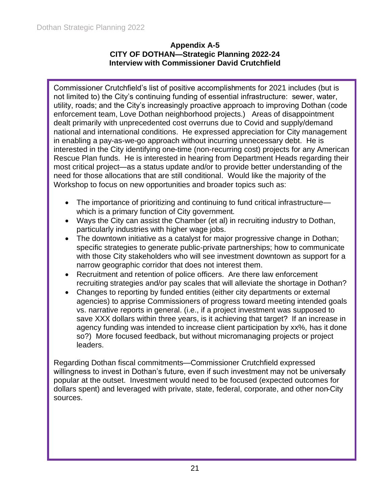#### **Appendix A-5 CITY OF DOTHAN—Strategic Planning 2022-24 Interview with Commissioner David Crutchfield**

Commissioner Crutchfield's list of positive accomplishments for 2021 includes (but is not limited to) the City's continuing funding of essential infrastructure: sewer, water, utility, roads; and the City's increasingly proactive approach to improving Dothan (code enforcement team, Love Dothan neighborhood projects.) Areas of disappointment dealt primarily with unprecedented cost overruns due to Covid and supply/demand national and international conditions. He expressed appreciation for City management in enabling a pay-as-we-go approach without incurring unnecessary debt. He is interested in the City identifying one-time (non-recurring cost) projects for any American Rescue Plan funds. He is interested in hearing from Department Heads regarding their most critical project—as a status update and/or to provide better understanding of the need for those allocations that are still conditional. Would like the majority of the Workshop to focus on new opportunities and broader topics such as:

- The importance of prioritizing and continuing to fund critical infrastructure which is a primary function of City government.
- Ways the City can assist the Chamber (et al) in recruiting industry to Dothan, particularly industries with higher wage jobs.
- The downtown initiative as a catalyst for major progressive change in Dothan; specific strategies to generate public-private partnerships; how to communicate with those City stakeholders who will see investment downtown as support for a narrow geographic corridor that does not interest them.
- Recruitment and retention of police officers. Are there law enforcement recruiting strategies and/or pay scales that will alleviate the shortage in Dothan?
- Changes to reporting by funded entities (either city departments or external agencies) to apprise Commissioners of progress toward meeting intended goals vs. narrative reports in general. (i.e., if a project investment was supposed to save XXX dollars within three years, is it achieving that target? If an increase in agency funding was intended to increase client participation by xx%, has it done so?) More focused feedback, but without micromanaging projects or project leaders.

Regarding Dothan fiscal commitments—Commissioner Crutchfield expressed willingness to invest in Dothan's future, even if such investment may not be universally popular at the outset. Investment would need to be focused (expected outcomes for dollars spent) and leveraged with private, state, federal, corporate, and other non-City sources.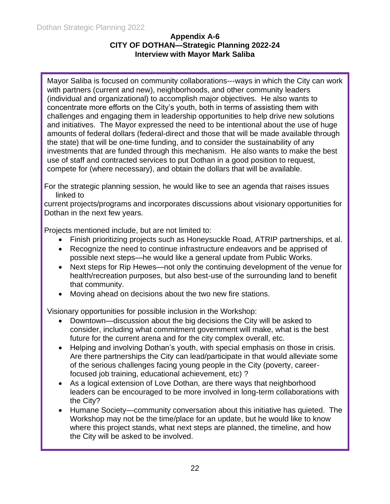#### **Appendix A-6 CITY OF DOTHAN—Strategic Planning 2022-24 Interview with Mayor Mark Saliba**

Mayor Saliba is focused on community collaborations---ways in which the City can work with partners (current and new), neighborhoods, and other community leaders (individual and organizational) to accomplish major objectives. He also wants to concentrate more efforts on the City's youth, both in terms of assisting them with challenges and engaging them in leadership opportunities to help drive new solutions and initiatives. The Mayor expressed the need to be intentional about the use of huge amounts of federal dollars (federal-direct and those that will be made available through the state) that will be one-time funding, and to consider the sustainability of any investments that are funded through this mechanism. He also wants to make the best use of staff and contracted services to put Dothan in a good position to request, compete for (where necessary), and obtain the dollars that will be available.

For the strategic planning session, he would like to see an agenda that raises issues linked to

current projects/programs and incorporates discussions about visionary opportunities for Dothan in the next few years.

Projects mentioned include, but are not limited to:

- Finish prioritizing projects such as Honeysuckle Road, ATRIP partnerships, et al.
- Recognize the need to continue infrastructure endeavors and be apprised of possible next steps—he would like a general update from Public Works.
- Next steps for Rip Hewes—not only the continuing development of the venue for health/recreation purposes, but also best-use of the surrounding land to benefit that community.
- Moving ahead on decisions about the two new fire stations.

Visionary opportunities for possible inclusion in the Workshop:

- Downtown—discussion about the big decisions the City will be asked to consider, including what commitment government will make, what is the best future for the current arena and for the city complex overall, etc.
- Helping and involving Dothan's youth, with special emphasis on those in crisis. Are there partnerships the City can lead/participate in that would alleviate some of the serious challenges facing young people in the City (poverty, careerfocused job training, educational achievement, etc) ?
- As a logical extension of Love Dothan, are there ways that neighborhood leaders can be encouraged to be more involved in long-term collaborations with the City?
- Humane Society—community conversation about this initiative has quieted. The Workshop may not be the time/place for an update, but he would like to know where this project stands, what next steps are planned, the timeline, and how the City will be asked to be involved.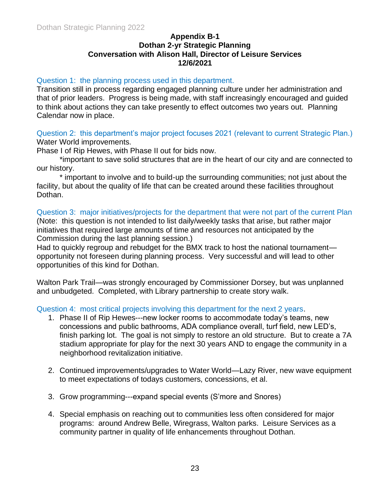#### **Appendix B-1 Dothan 2-yr Strategic Planning Conversation with Alison Hall, Director of Leisure Services 12/6/2021**

#### Question 1: the planning process used in this department.

Transition still in process regarding engaged planning culture under her administration and that of prior leaders. Progress is being made, with staff increasingly encouraged and guided to think about actions they can take presently to effect outcomes two years out. Planning Calendar now in place.

Question 2: this department's major project focuses 2021 (relevant to current Strategic Plan.) Water World improvements.

Phase I of Rip Hewes, with Phase II out for bids now.

\*important to save solid structures that are in the heart of our city and are connected to our history.

\* important to involve and to build-up the surrounding communities; not just about the facility, but about the quality of life that can be created around these facilities throughout Dothan.

#### Question 3: major initiatives/projects for the department that were not part of the current Plan (Note: this question is not intended to list daily/weekly tasks that arise, but rather major initiatives that required large amounts of time and resources not anticipated by the Commission during the last planning session.)

Had to quickly regroup and rebudget for the BMX track to host the national tournament opportunity not foreseen during planning process. Very successful and will lead to other opportunities of this kind for Dothan.

Walton Park Trail—was strongly encouraged by Commissioner Dorsey, but was unplanned and unbudgeted. Completed, with Library partnership to create story walk.

Question 4: most critical projects involving this department for the next 2 years.

- 1. Phase II of Rip Hewes---new locker rooms to accommodate today's teams, new concessions and public bathrooms, ADA compliance overall, turf field, new LED's, finish parking lot. The goal is not simply to restore an old structure. But to create a 7A stadium appropriate for play for the next 30 years AND to engage the community in a neighborhood revitalization initiative.
- 2. Continued improvements/upgrades to Water World—Lazy River, new wave equipment to meet expectations of todays customers, concessions, et al.
- 3. Grow programming---expand special events (S'more and Snores)
- 4. Special emphasis on reaching out to communities less often considered for major programs: around Andrew Belle, Wiregrass, Walton parks. Leisure Services as a community partner in quality of life enhancements throughout Dothan.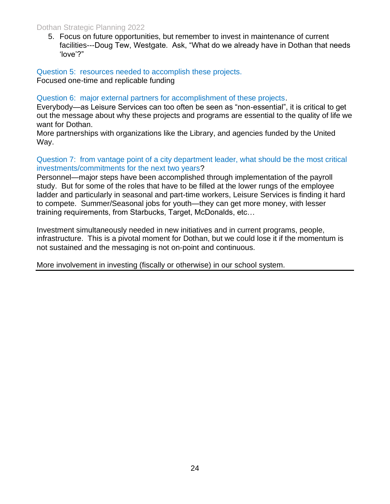#### Dothan Strategic Planning 2022

5. Focus on future opportunities, but remember to invest in maintenance of current facilities---Doug Tew, Westgate. Ask, "What do we already have in Dothan that needs 'love'?"

Question 5: resources needed to accomplish these projects. Focused one-time and replicable funding

Question 6: major external partners for accomplishment of these projects.

Everybody—as Leisure Services can too often be seen as "non-essential", it is critical to get out the message about why these projects and programs are essential to the quality of life we want for Dothan.

More partnerships with organizations like the Library, and agencies funded by the United Way.

Question 7: from vantage point of a city department leader, what should be the most critical investments/commitments for the next two years?

Personnel—major steps have been accomplished through implementation of the payroll study. But for some of the roles that have to be filled at the lower rungs of the employee ladder and particularly in seasonal and part-time workers, Leisure Services is finding it hard to compete. Summer/Seasonal jobs for youth—they can get more money, with lesser training requirements, from Starbucks, Target, McDonalds, etc…

Investment simultaneously needed in new initiatives and in current programs, people, infrastructure. This is a pivotal moment for Dothan, but we could lose it if the momentum is not sustained and the messaging is not on-point and continuous.

More involvement in investing (fiscally or otherwise) in our school system.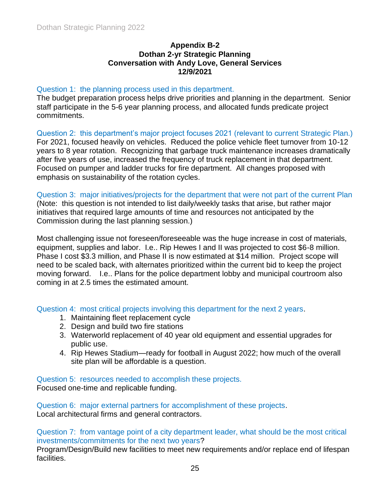#### **Appendix B-2 Dothan 2-yr Strategic Planning Conversation with Andy Love, General Services 12/9/2021**

#### Question 1: the planning process used in this department.

The budget preparation process helps drive priorities and planning in the department. Senior staff participate in the 5-6 year planning process, and allocated funds predicate project commitments.

Question 2: this department's major project focuses 2021 (relevant to current Strategic Plan.) For 2021, focused heavily on vehicles. Reduced the police vehicle fleet turnover from 10-12 years to 8 year rotation. Recognizing that garbage truck maintenance increases dramatically after five years of use, increased the frequency of truck replacement in that department. Focused on pumper and ladder trucks for fire department. All changes proposed with emphasis on sustainability of the rotation cycles.

Question 3: major initiatives/projects for the department that were not part of the current Plan (Note: this question is not intended to list daily/weekly tasks that arise, but rather major initiatives that required large amounts of time and resources not anticipated by the Commission during the last planning session.)

Most challenging issue not foreseen/foreseeable was the huge increase in cost of materials, equipment, supplies and labor. I.e.. Rip Hewes I and II was projected to cost \$6-8 million. Phase I cost \$3.3 million, and Phase II is now estimated at \$14 million. Project scope will need to be scaled back, with alternates prioritized within the current bid to keep the project moving forward. I.e.. Plans for the police department lobby and municipal courtroom also coming in at 2.5 times the estimated amount.

Question 4: most critical projects involving this department for the next 2 years.

- 1. Maintaining fleet replacement cycle
- 2. Design and build two fire stations
- 3. Waterworld replacement of 40 year old equipment and essential upgrades for public use.
- 4. Rip Hewes Stadium—ready for football in August 2022; how much of the overall site plan will be affordable is a question.

Question 5: resources needed to accomplish these projects.

Focused one-time and replicable funding.

Question 6: major external partners for accomplishment of these projects. Local architectural firms and general contractors.

Question 7: from vantage point of a city department leader, what should be the most critical investments/commitments for the next two years?

Program/Design/Build new facilities to meet new requirements and/or replace end of lifespan facilities.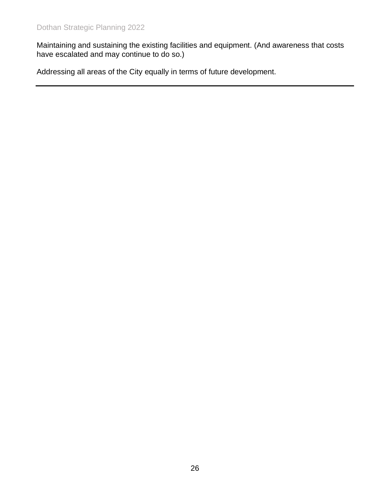Maintaining and sustaining the existing facilities and equipment. (And awareness that costs have escalated and may continue to do so.)

Addressing all areas of the City equally in terms of future development.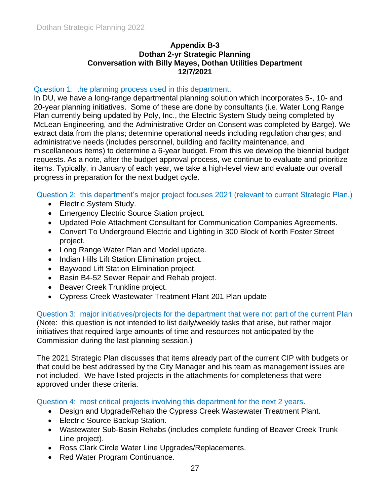#### **Appendix B-3 Dothan 2-yr Strategic Planning Conversation with Billy Mayes, Dothan Utilities Department 12/7/2021**

#### Question 1: the planning process used in this department.

In DU, we have a long-range departmental planning solution which incorporates 5-, 10- and 20-year planning initiatives. Some of these are done by consultants (i.e. Water Long Range Plan currently being updated by Poly, Inc., the Electric System Study being completed by McLean Engineering, and the Administrative Order on Consent was completed by Barge). We extract data from the plans; determine operational needs including regulation changes; and administrative needs (includes personnel, building and facility maintenance, and miscellaneous items) to determine a 6-year budget. From this we develop the biennial budget requests. As a note, after the budget approval process, we continue to evaluate and prioritize items. Typically, in January of each year, we take a high-level view and evaluate our overall progress in preparation for the next budget cycle.

#### Question 2: this department's major project focuses 2021 (relevant to current Strategic Plan.)

- Electric System Study.
- Emergency Electric Source Station project.
- Updated Pole Attachment Consultant for Communication Companies Agreements.
- Convert To Underground Electric and Lighting in 300 Block of North Foster Street project.
- Long Range Water Plan and Model update.
- Indian Hills Lift Station Elimination project.
- Baywood Lift Station Elimination project.
- Basin B4-52 Sewer Repair and Rehab project.
- Beaver Creek Trunkline project.
- Cypress Creek Wastewater Treatment Plant 201 Plan update

Question 3: major initiatives/projects for the department that were not part of the current Plan (Note: this question is not intended to list daily/weekly tasks that arise, but rather major initiatives that required large amounts of time and resources not anticipated by the Commission during the last planning session.)

The 2021 Strategic Plan discusses that items already part of the current CIP with budgets or that could be best addressed by the City Manager and his team as management issues are not included. We have listed projects in the attachments for completeness that were approved under these criteria.

Question 4: most critical projects involving this department for the next 2 years.

- Design and Upgrade/Rehab the Cypress Creek Wastewater Treatment Plant.
- Electric Source Backup Station.
- Wastewater Sub-Basin Rehabs (includes complete funding of Beaver Creek Trunk Line project).
- Ross Clark Circle Water Line Upgrades/Replacements.
- Red Water Program Continuance.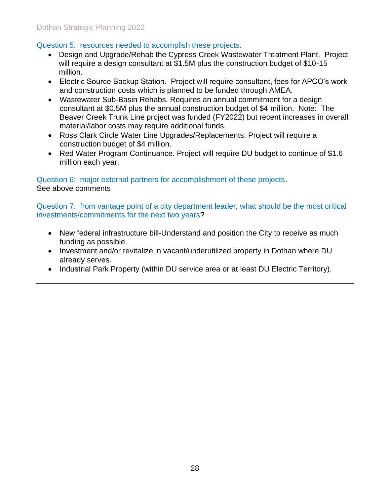#### Question 5: resources needed to accomplish these projects.

- Design and Upgrade/Rehab the Cypress Creek Wastewater Treatment Plant. Project will require a design consultant at \$1.5M plus the construction budget of \$10-15 million.
- Electric Source Backup Station. Project will require consultant, fees for APCO's work and construction costs which is planned to be funded through AMEA.
- Wastewater Sub-Basin Rehabs. Requires an annual commitment for a design consultant at \$0.5M plus the annual construction budget of \$4 million. Note: The Beaver Creek Trunk Line project was funded (FY2022) but recent increases in overall material/labor costs may require additional funds.
- Ross Clark Circle Water Line Upgrades/Replacements. Project will require a construction budget of \$4 million.
- Red Water Program Continuance. Project will require DU budget to continue of \$1.6 million each year.

Question 6: major external partners for accomplishment of these projects. See above comments

Question 7: from vantage point of a city department leader, what should be the most critical investments/commitments for the next two years?

- New federal infrastructure bill-Understand and position the City to receive as much funding as possible.
- Investment and/or revitalize in vacant/underutilized property in Dothan where DU already serves.
- Industrial Park Property (within DU service area or at least DU Electric Territory).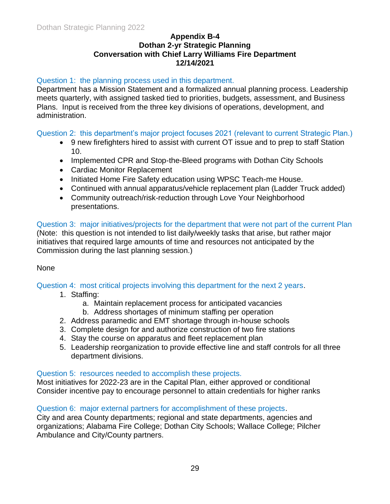#### **Appendix B-4 Dothan 2-yr Strategic Planning Conversation with Chief Larry Williams Fire Department 12/14/2021**

#### Question 1: the planning process used in this department.

Department has a Mission Statement and a formalized annual planning process. Leadership meets quarterly, with assigned tasked tied to priorities, budgets, assessment, and Business Plans. Input is received from the three key divisions of operations, development, and administration.

Question 2: this department's major project focuses 2021 (relevant to current Strategic Plan.)

- 9 new firefighters hired to assist with current OT issue and to prep to staff Station 10.
- Implemented CPR and Stop-the-Bleed programs with Dothan City Schools
- Cardiac Monitor Replacement
- Initiated Home Fire Safety education using WPSC Teach-me House.
- Continued with annual apparatus/vehicle replacement plan (Ladder Truck added)
- Community outreach/risk-reduction through Love Your Neighborhood presentations.

Question 3: major initiatives/projects for the department that were not part of the current Plan (Note: this question is not intended to list daily/weekly tasks that arise, but rather major initiatives that required large amounts of time and resources not anticipated by the Commission during the last planning session.)

#### None

Question 4: most critical projects involving this department for the next 2 years.

- 1. Staffing:
	- a. Maintain replacement process for anticipated vacancies
	- b. Address shortages of minimum staffing per operation
- 2. Address paramedic and EMT shortage through in-house schools
- 3. Complete design for and authorize construction of two fire stations
- 4. Stay the course on apparatus and fleet replacement plan
- 5. Leadership reorganization to provide effective line and staff controls for all three department divisions.

#### Question 5: resources needed to accomplish these projects.

Most initiatives for 2022-23 are in the Capital Plan, either approved or conditional Consider incentive pay to encourage personnel to attain credentials for higher ranks

#### Question 6: major external partners for accomplishment of these projects.

City and area County departments; regional and state departments, agencies and organizations; Alabama Fire College; Dothan City Schools; Wallace College; Pilcher Ambulance and City/County partners.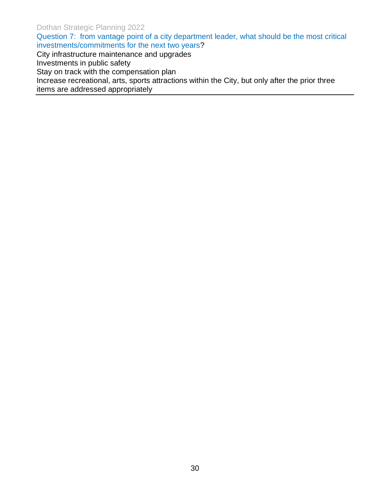Dothan Strategic Planning 2022

Question 7: from vantage point of a city department leader, what should be the most critical investments/commitments for the next two years?

City infrastructure maintenance and upgrades

Investments in public safety

Stay on track with the compensation plan

Increase recreational, arts, sports attractions within the City, but only after the prior three items are addressed appropriately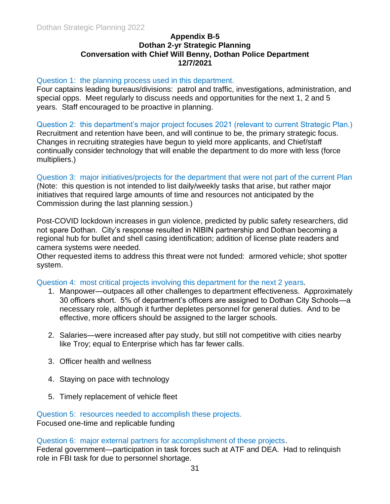#### **Appendix B-5 Dothan 2-yr Strategic Planning Conversation with Chief Will Benny, Dothan Police Department 12/7/2021**

#### Question 1: the planning process used in this department.

Four captains leading bureaus/divisions: patrol and traffic, investigations, administration, and special opps. Meet regularly to discuss needs and opportunities for the next 1, 2 and 5 years. Staff encouraged to be proactive in planning.

Question 2: this department's major project focuses 2021 (relevant to current Strategic Plan.) Recruitment and retention have been, and will continue to be, the primary strategic focus. Changes in recruiting strategies have begun to yield more applicants, and Chief/staff continually consider technology that will enable the department to do more with less (force multipliers.)

Question 3: major initiatives/projects for the department that were not part of the current Plan (Note: this question is not intended to list daily/weekly tasks that arise, but rather major initiatives that required large amounts of time and resources not anticipated by the Commission during the last planning session.)

Post-COVID lockdown increases in gun violence, predicted by public safety researchers, did not spare Dothan. City's response resulted in NIBIN partnership and Dothan becoming a regional hub for bullet and shell casing identification; addition of license plate readers and camera systems were needed.

Other requested items to address this threat were not funded: armored vehicle; shot spotter system.

Question 4: most critical projects involving this department for the next 2 years.

- 1. Manpower—outpaces all other challenges to department effectiveness. Approximately 30 officers short. 5% of department's officers are assigned to Dothan City Schools—a necessary role, although it further depletes personnel for general duties. And to be effective, more officers should be assigned to the larger schools.
- 2. Salaries—were increased after pay study, but still not competitive with cities nearby like Troy; equal to Enterprise which has far fewer calls.
- 3. Officer health and wellness
- 4. Staying on pace with technology
- 5. Timely replacement of vehicle fleet

Question 5: resources needed to accomplish these projects. Focused one-time and replicable funding

Question 6: major external partners for accomplishment of these projects.

Federal government—participation in task forces such at ATF and DEA. Had to relinquish role in FBI task for due to personnel shortage.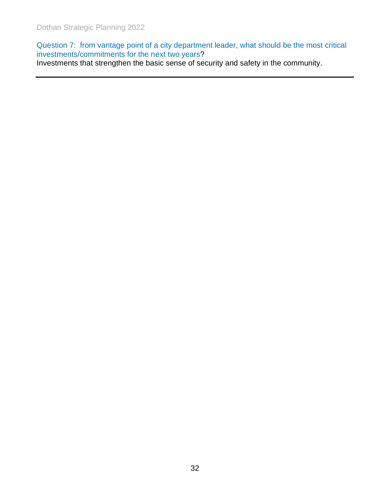Question 7: from vantage point of a city department leader, what should be the most critical investments/commitments for the next two years?

Investments that strengthen the basic sense of security and safety in the community.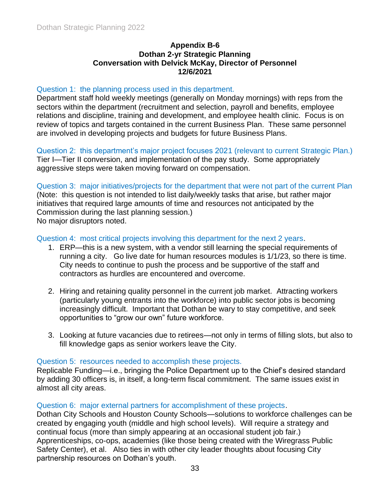#### **Appendix B-6 Dothan 2-yr Strategic Planning Conversation with Delvick McKay, Director of Personnel 12/6/2021**

#### Question 1: the planning process used in this department.

Department staff hold weekly meetings (generally on Monday mornings) with reps from the sectors within the department (recruitment and selection, payroll and benefits, employee relations and discipline, training and development, and employee health clinic. Focus is on review of topics and targets contained in the current Business Plan. These same personnel are involved in developing projects and budgets for future Business Plans.

Question 2: this department's major project focuses 2021 (relevant to current Strategic Plan.) Tier I—Tier II conversion, and implementation of the pay study. Some appropriately aggressive steps were taken moving forward on compensation.

Question 3: major initiatives/projects for the department that were not part of the current Plan (Note: this question is not intended to list daily/weekly tasks that arise, but rather major initiatives that required large amounts of time and resources not anticipated by the Commission during the last planning session.) No major disruptors noted.

#### Question 4: most critical projects involving this department for the next 2 years.

- 1. ERP—this is a new system, with a vendor still learning the special requirements of running a city. Go live date for human resources modules is 1/1/23, so there is time. City needs to continue to push the process and be supportive of the staff and contractors as hurdles are encountered and overcome.
- 2. Hiring and retaining quality personnel in the current job market. Attracting workers (particularly young entrants into the workforce) into public sector jobs is becoming increasingly difficult. Important that Dothan be wary to stay competitive, and seek opportunities to "grow our own" future workforce.
- 3. Looking at future vacancies due to retirees—not only in terms of filling slots, but also to fill knowledge gaps as senior workers leave the City.

#### Question 5: resources needed to accomplish these projects.

Replicable Funding—i.e., bringing the Police Department up to the Chief's desired standard by adding 30 officers is, in itself, a long-term fiscal commitment. The same issues exist in almost all city areas.

#### Question 6: major external partners for accomplishment of these projects.

Dothan City Schools and Houston County Schools—solutions to workforce challenges can be created by engaging youth (middle and high school levels). Will require a strategy and continual focus (more than simply appearing at an occasional student job fair.) Apprenticeships, co-ops, academies (like those being created with the Wiregrass Public Safety Center), et al. Also ties in with other city leader thoughts about focusing City partnership resources on Dothan's youth.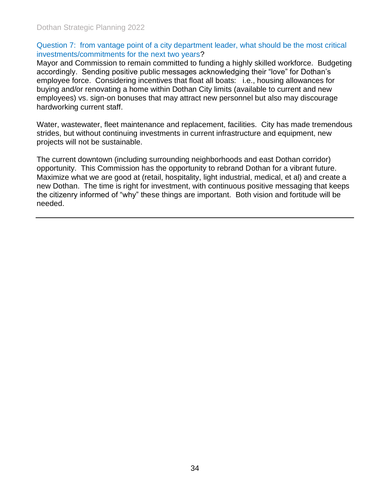#### Question 7: from vantage point of a city department leader, what should be the most critical investments/commitments for the next two years?

Mayor and Commission to remain committed to funding a highly skilled workforce. Budgeting accordingly. Sending positive public messages acknowledging their "love" for Dothan's employee force. Considering incentives that float all boats: i.e., housing allowances for buying and/or renovating a home within Dothan City limits (available to current and new employees) vs. sign-on bonuses that may attract new personnel but also may discourage hardworking current staff.

Water, wastewater, fleet maintenance and replacement, facilities. City has made tremendous strides, but without continuing investments in current infrastructure and equipment, new projects will not be sustainable.

The current downtown (including surrounding neighborhoods and east Dothan corridor) opportunity. This Commission has the opportunity to rebrand Dothan for a vibrant future. Maximize what we are good at (retail, hospitality, light industrial, medical, et al) and create a new Dothan. The time is right for investment, with continuous positive messaging that keeps the citizenry informed of "why" these things are important. Both vision and fortitude will be needed.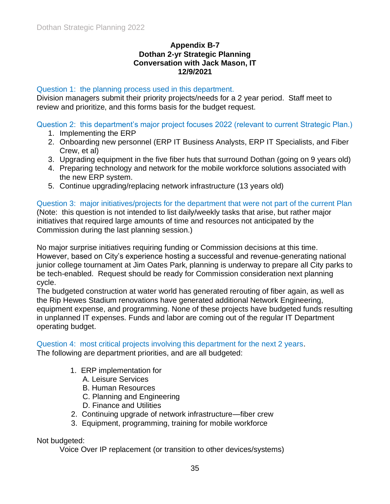#### **Appendix B-7 Dothan 2-yr Strategic Planning Conversation with Jack Mason, IT 12/9/2021**

#### Question 1: the planning process used in this department.

Division managers submit their priority projects/needs for a 2 year period. Staff meet to review and prioritize, and this forms basis for the budget request.

Question 2: this department's major project focuses 2022 (relevant to current Strategic Plan.)

- 1. Implementing the ERP
- 2. Onboarding new personnel (ERP IT Business Analysts, ERP IT Specialists, and Fiber Crew, et al)
- 3. Upgrading equipment in the five fiber huts that surround Dothan (going on 9 years old)
- 4. Preparing technology and network for the mobile workforce solutions associated with the new ERP system.
- 5. Continue upgrading/replacing network infrastructure (13 years old)

Question 3: major initiatives/projects for the department that were not part of the current Plan

(Note: this question is not intended to list daily/weekly tasks that arise, but rather major initiatives that required large amounts of time and resources not anticipated by the Commission during the last planning session.)

No major surprise initiatives requiring funding or Commission decisions at this time. However, based on City's experience hosting a successful and revenue-generating national junior college tournament at Jim Oates Park, planning is underway to prepare all City parks to be tech-enabled. Request should be ready for Commission consideration next planning cycle.

The budgeted construction at water world has generated rerouting of fiber again, as well as the Rip Hewes Stadium renovations have generated additional Network Engineering, equipment expense, and programming. None of these projects have budgeted funds resulting in unplanned IT expenses. Funds and labor are coming out of the regular IT Department operating budget.

Question 4: most critical projects involving this department for the next 2 years.

The following are department priorities, and are all budgeted:

- 1. ERP implementation for
	- A. Leisure Services
	- B. Human Resources
	- C. Planning and Engineering
	- D. Finance and Utilities
- 2. Continuing upgrade of network infrastructure—fiber crew
- 3. Equipment, programming, training for mobile workforce

Not budgeted:

Voice Over IP replacement (or transition to other devices/systems)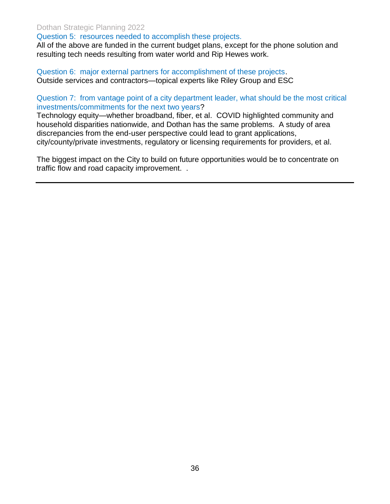#### Dothan Strategic Planning 2022

Question 5: resources needed to accomplish these projects.

All of the above are funded in the current budget plans, except for the phone solution and resulting tech needs resulting from water world and Rip Hewes work.

Question 6: major external partners for accomplishment of these projects. Outside services and contractors—topical experts like Riley Group and ESC

Question 7: from vantage point of a city department leader, what should be the most critical investments/commitments for the next two years?

Technology equity—whether broadband, fiber, et al. COVID highlighted community and household disparities nationwide, and Dothan has the same problems. A study of area discrepancies from the end-user perspective could lead to grant applications, city/county/private investments, regulatory or licensing requirements for providers, et al.

The biggest impact on the City to build on future opportunities would be to concentrate on traffic flow and road capacity improvement. .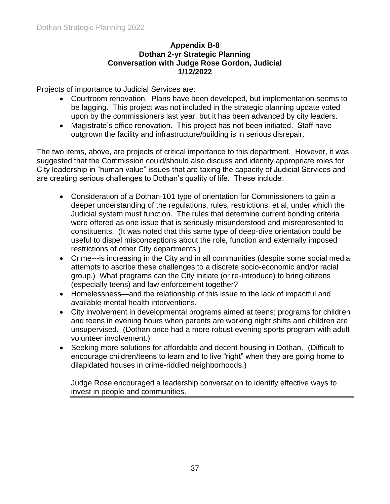#### **Appendix B-8 Dothan 2-yr Strategic Planning Conversation with Judge Rose Gordon, Judicial 1/12/2022**

Projects of importance to Judicial Services are:

- Courtroom renovation. Plans have been developed, but implementation seems to be lagging. This project was not included in the strategic planning update voted upon by the commissioners last year, but it has been advanced by city leaders.
- Magistrate's office renovation. This project has not been initiated. Staff have outgrown the facility and infrastructure/building is in serious disrepair.

The two items, above, are projects of critical importance to this department. However, it was suggested that the Commission could/should also discuss and identify appropriate roles for City leadership in "human value" issues that are taxing the capacity of Judicial Services and are creating serious challenges to Dothan's quality of life. These include:

- Consideration of a Dothan-101 type of orientation for Commissioners to gain a deeper understanding of the regulations, rules, restrictions, et al, under which the Judicial system must function. The rules that determine current bonding criteria were offered as one issue that is seriously misunderstood and misrepresented to constituents. (It was noted that this same type of deep-dive orientation could be useful to dispel misconceptions about the role, function and externally imposed restrictions of other City departments.)
- Crime---is increasing in the City and in all communities (despite some social media attempts to ascribe these challenges to a discrete socio-economic and/or racial group.) What programs can the City initiate (or re-introduce) to bring citizens (especially teens) and law enforcement together?
- Homelessness—and the relationship of this issue to the lack of impactful and available mental health interventions.
- City involvement in developmental programs aimed at teens; programs for children and teens in evening hours when parents are working night shifts and children are unsupervised. (Dothan once had a more robust evening sports program with adult volunteer involvement.)
- Seeking more solutions for affordable and decent housing in Dothan. (Difficult to encourage children/teens to learn and to live "right" when they are going home to dilapidated houses in crime-riddled neighborhoods.)

Judge Rose encouraged a leadership conversation to identify effective ways to invest in people and communities.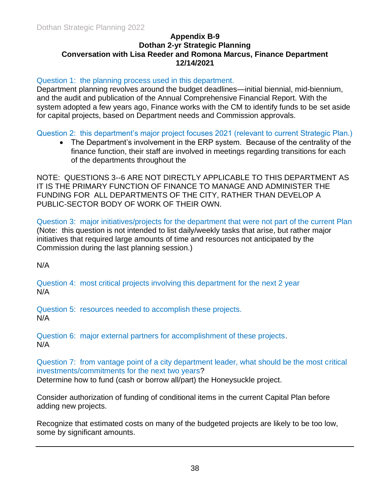#### **Appendix B-9 Dothan 2-yr Strategic Planning Conversation with Lisa Reeder and Romona Marcus, Finance Department 12/14/2021**

#### Question 1: the planning process used in this department.

Department planning revolves around the budget deadlines—initial biennial, mid-biennium, and the audit and publication of the Annual Comprehensive Financial Report. With the system adopted a few years ago, Finance works with the CM to identify funds to be set aside for capital projects, based on Department needs and Commission approvals.

Question 2: this department's major project focuses 2021 (relevant to current Strategic Plan.)

• The Department's involvement in the ERP system. Because of the centrality of the finance function, their staff are involved in meetings regarding transitions for each of the departments throughout the

NOTE: QUESTIONS 3--6 ARE NOT DIRECTLY APPLICABLE TO THIS DEPARTMENT AS IT IS THE PRIMARY FUNCTION OF FINANCE TO MANAGE AND ADMINISTER THE FUNDING FOR ALL DEPARTMENTS OF THE CITY, RATHER THAN DEVELOP A PUBLIC-SECTOR BODY OF WORK OF THEIR OWN.

Question 3: major initiatives/projects for the department that were not part of the current Plan (Note: this question is not intended to list daily/weekly tasks that arise, but rather major initiatives that required large amounts of time and resources not anticipated by the Commission during the last planning session.)

N/A

Question 4: most critical projects involving this department for the next 2 year N/A

Question 5: resources needed to accomplish these projects. N/A

Question 6: major external partners for accomplishment of these projects. N/A

Question 7: from vantage point of a city department leader, what should be the most critical investments/commitments for the next two years?

Determine how to fund (cash or borrow all/part) the Honeysuckle project.

Consider authorization of funding of conditional items in the current Capital Plan before adding new projects.

Recognize that estimated costs on many of the budgeted projects are likely to be too low, some by significant amounts.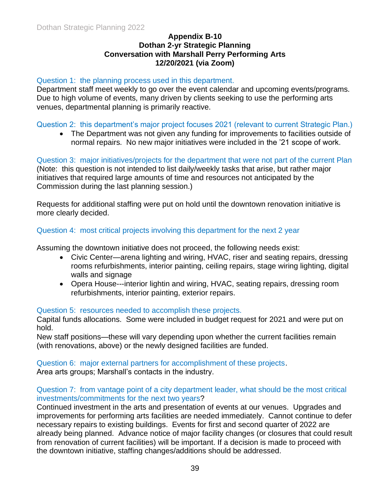#### **Appendix B-10 Dothan 2-yr Strategic Planning Conversation with Marshall Perry Performing Arts 12/20/2021 (via Zoom)**

#### Question 1: the planning process used in this department.

Department staff meet weekly to go over the event calendar and upcoming events/programs. Due to high volume of events, many driven by clients seeking to use the performing arts venues, departmental planning is primarily reactive.

#### Question 2: this department's major project focuses 2021 (relevant to current Strategic Plan.)

• The Department was not given any funding for improvements to facilities outside of normal repairs. No new major initiatives were included in the '21 scope of work.

Question 3: major initiatives/projects for the department that were not part of the current Plan (Note: this question is not intended to list daily/weekly tasks that arise, but rather major initiatives that required large amounts of time and resources not anticipated by the Commission during the last planning session.)

Requests for additional staffing were put on hold until the downtown renovation initiative is more clearly decided.

#### Question 4: most critical projects involving this department for the next 2 year

Assuming the downtown initiative does not proceed, the following needs exist:

- Civic Center—arena lighting and wiring, HVAC, riser and seating repairs, dressing rooms refurbishments, interior painting, ceiling repairs, stage wiring lighting, digital walls and signage
- Opera House---interior lightin and wiring, HVAC, seating repairs, dressing room refurbishments, interior painting, exterior repairs.

#### Question 5: resources needed to accomplish these projects.

Capital funds allocations. Some were included in budget request for 2021 and were put on hold.

New staff positions—these will vary depending upon whether the current facilities remain (with renovations, above) or the newly designed facilities are funded.

Question 6: major external partners for accomplishment of these projects.

Area arts groups; Marshall's contacts in the industry.

#### Question 7: from vantage point of a city department leader, what should be the most critical investments/commitments for the next two years?

Continued investment in the arts and presentation of events at our venues. Upgrades and improvements for performing arts facilities are needed immediately. Cannot continue to defer necessary repairs to existing buildings. Events for first and second quarter of 2022 are already being planned. Advance notice of major facility changes (or closures that could result from renovation of current facilities) will be important. If a decision is made to proceed with the downtown initiative, staffing changes/additions should be addressed.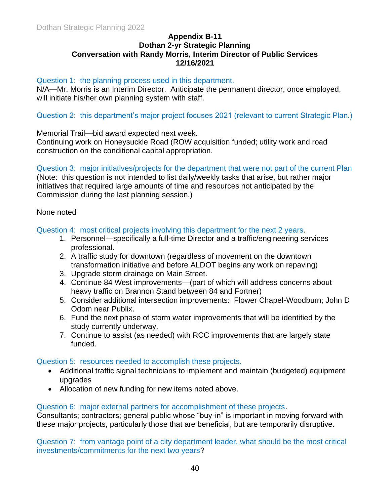#### **Appendix B-11 Dothan 2-yr Strategic Planning Conversation with Randy Morris, Interim Director of Public Services 12/16/2021**

#### Question 1: the planning process used in this department.

N/A—Mr. Morris is an Interim Director. Anticipate the permanent director, once employed, will initiate his/her own planning system with staff.

#### Question 2: this department's major project focuses 2021 (relevant to current Strategic Plan.)

Memorial Trail—bid award expected next week.

Continuing work on Honeysuckle Road (ROW acquisition funded; utility work and road construction on the conditional capital appropriation.

Question 3: major initiatives/projects for the department that were not part of the current Plan (Note: this question is not intended to list daily/weekly tasks that arise, but rather major

initiatives that required large amounts of time and resources not anticipated by the Commission during the last planning session.)

#### None noted

Question 4: most critical projects involving this department for the next 2 years.

- 1. Personnel—specifically a full-time Director and a traffic/engineering services professional.
- 2. A traffic study for downtown (regardless of movement on the downtown transformation initiative and before ALDOT begins any work on repaving)
- 3. Upgrade storm drainage on Main Street.
- 4. Continue 84 West improvements—(part of which will address concerns about heavy traffic on Brannon Stand between 84 and Fortner)
- 5. Consider additional intersection improvements: Flower Chapel-Woodburn; John D Odom near Publix.
- 6. Fund the next phase of storm water improvements that will be identified by the study currently underway.
- 7. Continue to assist (as needed) with RCC improvements that are largely state funded.

#### Question 5: resources needed to accomplish these projects.

- Additional traffic signal technicians to implement and maintain (budgeted) equipment upgrades
- Allocation of new funding for new items noted above.

#### Question 6: major external partners for accomplishment of these projects.

Consultants; contractors; general public whose "buy-in" is important in moving forward with these major projects, particularly those that are beneficial, but are temporarily disruptive.

Question 7: from vantage point of a city department leader, what should be the most critical investments/commitments for the next two years?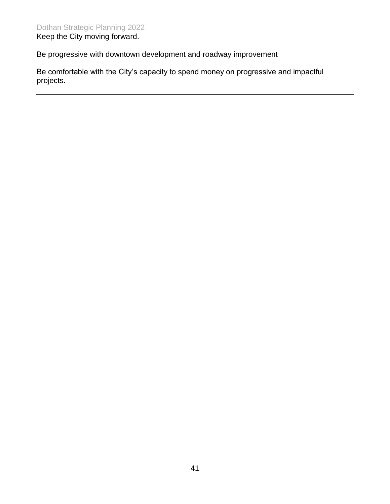Be progressive with downtown development and roadway improvement

Be comfortable with the City's capacity to spend money on progressive and impactful projects.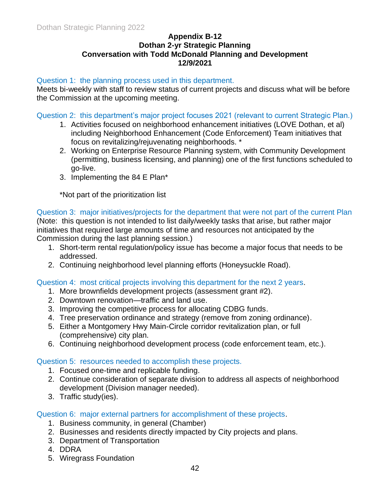#### **Appendix B-12 Dothan 2-yr Strategic Planning Conversation with Todd McDonald Planning and Development 12/9/2021**

#### Question 1: the planning process used in this department.

Meets bi-weekly with staff to review status of current projects and discuss what will be before the Commission at the upcoming meeting.

Question 2: this department's major project focuses 2021 (relevant to current Strategic Plan.)

- 1. Activities focused on neighborhood enhancement initiatives (LOVE Dothan, et al) including Neighborhood Enhancement (Code Enforcement) Team initiatives that focus on revitalizing/rejuvenating neighborhoods. \*
- 2. Working on Enterprise Resource Planning system, with Community Development (permitting, business licensing, and planning) one of the first functions scheduled to go-live.
- 3. Implementing the 84 E Plan\*

\*Not part of the prioritization list

#### Question 3: major initiatives/projects for the department that were not part of the current Plan (Note: this question is not intended to list daily/weekly tasks that arise, but rather major initiatives that required large amounts of time and resources not anticipated by the

Commission during the last planning session.)

- 1. Short-term rental regulation/policy issue has become a major focus that needs to be addressed.
- 2. Continuing neighborhood level planning efforts (Honeysuckle Road).

Question 4: most critical projects involving this department for the next 2 years.

- 1. More brownfields development projects (assessment grant #2).
- 2. Downtown renovation—traffic and land use.
- 3. Improving the competitive process for allocating CDBG funds.
- 4. Tree preservation ordinance and strategy (remove from zoning ordinance).
- 5. Either a Montgomery Hwy Main-Circle corridor revitalization plan, or full (comprehensive) city plan.
- 6. Continuing neighborhood development process (code enforcement team, etc.).

#### Question 5: resources needed to accomplish these projects.

- 1. Focused one-time and replicable funding.
- 2. Continue consideration of separate division to address all aspects of neighborhood development (Division manager needed).
- 3. Traffic study(ies).

Question 6: major external partners for accomplishment of these projects.

- 1. Business community, in general (Chamber)
- 2. Businesses and residents directly impacted by City projects and plans.
- 3. Department of Transportation
- 4. DDRA
- 5. Wiregrass Foundation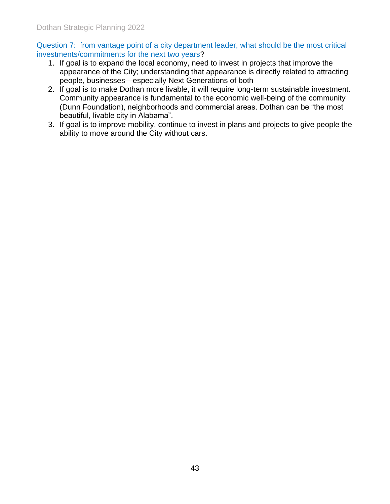Question 7: from vantage point of a city department leader, what should be the most critical investments/commitments for the next two years?

- 1. If goal is to expand the local economy, need to invest in projects that improve the appearance of the City; understanding that appearance is directly related to attracting people, businesses—especially Next Generations of both
- 2. If goal is to make Dothan more livable, it will require long-term sustainable investment. Community appearance is fundamental to the economic well-being of the community (Dunn Foundation), neighborhoods and commercial areas. Dothan can be "the most beautiful, livable city in Alabama".
- 3. If goal is to improve mobility, continue to invest in plans and projects to give people the ability to move around the City without cars.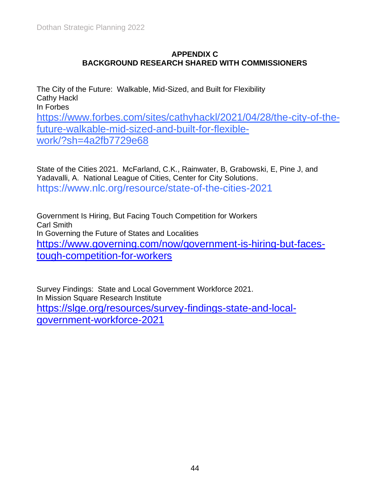#### **APPENDIX C BACKGROUND RESEARCH SHARED WITH COMMISSIONERS**

The City of the Future: Walkable, Mid-Sized, and Built for Flexibility Cathy Hackl In Forbes [https://www.forbes.com/sites/cathyhackl/2021/04/28/the-city-of-the](https://www.forbes.com/sites/cathyhackl/2021/04/28/the-city-of-the-future-walkable-mid-sized-and-built-for-flexible-work/?sh=4a2fb7729e68)[future-walkable-mid-sized-and-built-for-flexible](https://www.forbes.com/sites/cathyhackl/2021/04/28/the-city-of-the-future-walkable-mid-sized-and-built-for-flexible-work/?sh=4a2fb7729e68)[work/?sh=4a2fb7729e68](https://www.forbes.com/sites/cathyhackl/2021/04/28/the-city-of-the-future-walkable-mid-sized-and-built-for-flexible-work/?sh=4a2fb7729e68)

State of the Cities 2021. McFarland, C.K., Rainwater, B, Grabowski, E, Pine J, and Yadavalli, A. National League of Cities, Center for City Solutions. https://www.nlc.org/resource/state-of-the-cities-2021

Government Is Hiring, But Facing Touch Competition for Workers Carl Smith In Governing the Future of States and Localities [https://www.governing.com/now/government-is-hiring-but-faces](https://www.governing.com/now/government-is-hiring-but-faces-tough-competition-for-workers)[tough-competition-for-workers](https://www.governing.com/now/government-is-hiring-but-faces-tough-competition-for-workers)

Survey Findings: State and Local Government Workforce 2021. In Mission Square Research Institute [https://slge.org/resources/survey-findings-state-and-local](https://slge.org/resources/survey-findings-state-and-local-government-workforce-2021)[government-workforce-2021](https://slge.org/resources/survey-findings-state-and-local-government-workforce-2021)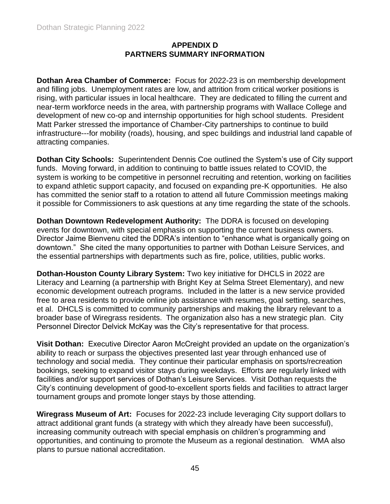#### **APPENDIX D PARTNERS SUMMARY INFORMATION**

**Dothan Area Chamber of Commerce:** Focus for 2022-23 is on membership development and filling jobs. Unemployment rates are low, and attrition from critical worker positions is rising, with particular issues in local healthcare. They are dedicated to filling the current and near-term workforce needs in the area, with partnership programs with Wallace College and development of new co-op and internship opportunities for high school students. President Matt Parker stressed the importance of Chamber-City partnerships to continue to build infrastructure---for mobility (roads), housing, and spec buildings and industrial land capable of attracting companies.

**Dothan City Schools:** Superintendent Dennis Coe outlined the System's use of City support funds. Moving forward, in addition to continuing to battle issues related to COVID, the system is working to be competitive in personnel recruiting and retention, working on facilities to expand athletic support capacity, and focused on expanding pre-K opportunities. He also has committed the senior staff to a rotation to attend all future Commission meetings making it possible for Commissioners to ask questions at any time regarding the state of the schools.

**Dothan Downtown Redevelopment Authority:** The DDRA is focused on developing events for downtown, with special emphasis on supporting the current business owners. Director Jaime Bienvenu cited the DDRA's intention to "enhance what is organically going on downtown." She cited the many opportunities to partner with Dothan Leisure Services, and the essential partnerships with departments such as fire, police, utilities, public works.

**Dothan-Houston County Library System:** Two key initiative for DHCLS in 2022 are Literacy and Learning (a partnership with Bright Key at Selma Street Elementary), and new economic development outreach programs. Included in the latter is a new service provided free to area residents to provide online job assistance with resumes, goal setting, searches, et al. DHCLS is committed to community partnerships and making the library relevant to a broader base of Wiregrass residents. The organization also has a new strategic plan. City Personnel Director Delvick McKay was the City's representative for that process.

**Visit Dothan:** Executive Director Aaron McCreight provided an update on the organization's ability to reach or surpass the objectives presented last year through enhanced use of technology and social media. They continue their particular emphasis on sports/recreation bookings, seeking to expand visitor stays during weekdays. Efforts are regularly linked with facilities and/or support services of Dothan's Leisure Services. Visit Dothan requests the City's continuing development of good-to-excellent sports fields and facilities to attract larger tournament groups and promote longer stays by those attending.

**Wiregrass Museum of Art:** Focuses for 2022-23 include leveraging City support dollars to attract additional grant funds (a strategy with which they already have been successful), increasing community outreach with special emphasis on children's programming and opportunities, and continuing to promote the Museum as a regional destination. WMA also plans to pursue national accreditation.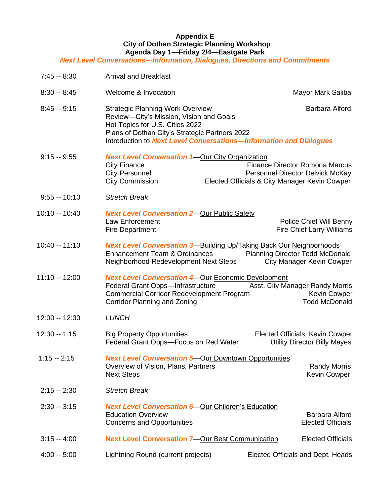#### **Appendix E** . **City of Dothan Strategic Planning Workshop Agenda Day 1—Friday 2/4—Eastgate Park**

#### *Next Level Conversations---Information, Dialogues, Directions and Commitments*

| $7:45 - 8:30$  | <b>Arrival and Breakfast</b>                                                                                                                                                                                                                         |                                                                                                                            |
|----------------|------------------------------------------------------------------------------------------------------------------------------------------------------------------------------------------------------------------------------------------------------|----------------------------------------------------------------------------------------------------------------------------|
| $8:30 - 8:45$  | Welcome & Invocation                                                                                                                                                                                                                                 | Mayor Mark Saliba                                                                                                          |
| $8:45 - 9:15$  | <b>Strategic Planning Work Overview</b><br>Review-City's Mission, Vision and Goals<br>Hot Topics for U.S. Cities 2022<br>Plans of Dothan City's Strategic Partners 2022<br>Introduction to <b>Next Level Conversations-Information and Dialogues</b> | Barbara Alford                                                                                                             |
| $9:15 - 9:55$  | <b>Next Level Conversation 1-Our City Organization</b><br><b>City Finance</b><br><b>City Personnel</b><br><b>City Commission</b>                                                                                                                     | <b>Finance Director Romona Marcus</b><br>Personnel Director Delvick McKay<br>Elected Officials & City Manager Kevin Cowper |
| $9:55 - 10:10$ | <b>Stretch Break</b>                                                                                                                                                                                                                                 |                                                                                                                            |
| 10:10 -- 10:40 | <b>Next Level Conversation 2-Our Public Safety</b><br>Law Enforcement<br><b>Fire Department</b>                                                                                                                                                      | Police Chief Will Benny<br>Fire Chief Larry Williams                                                                       |
| 10:40 -- 11:10 | <b>Next Level Conversation 3-Building Up/Taking Back Our Neighborhoods</b><br><b>Enhancement Team &amp; Ordinances</b><br>Neighborhood Redevelopment Next Steps                                                                                      | <b>Planning Director Todd McDonald</b><br><b>City Manager Kevin Cowper</b>                                                 |
| 11:10 -- 12:00 | <b>Next Level Conversation 4-Our Economic Development</b><br>Federal Grant Opps-Infrastructure Asst. City Manager Randy Morris<br><b>Commercial Corridor Redevelopment Program</b><br><b>Corridor Planning and Zoning</b>                            | Kevin Cowper<br><b>Todd McDonald</b>                                                                                       |
| 12:00 -- 12:30 | <b>LUNCH</b>                                                                                                                                                                                                                                         |                                                                                                                            |
| 12:30 -- 1:15  | <b>Big Property Opportunities</b><br>Federal Grant Opps-Focus on Red Water                                                                                                                                                                           | Elected Officials; Kevin Cowper<br><b>Utility Director Billy Mayes</b>                                                     |
| $1:15 - 2:15$  | <b>Next Level Conversation 5-Our Downtown Opportunities</b><br>Overview of Vision, Plans, Partners<br><b>Next Steps</b>                                                                                                                              | <b>Randy Morris</b><br><b>Kevin Cowper</b>                                                                                 |
| $2:15 - 2:30$  | <b>Stretch Break</b>                                                                                                                                                                                                                                 |                                                                                                                            |
| $2:30 - 3:15$  | <b>Next Level Conversation 6-Our Children's Education</b><br><b>Education Overview</b><br><b>Concerns and Opportunities</b>                                                                                                                          | Barbara Alford<br><b>Elected Officials</b>                                                                                 |
| $3:15 - 4:00$  | <b>Next Level Conversation 7-Our Best Communication</b>                                                                                                                                                                                              | <b>Elected Officials</b>                                                                                                   |
| $4:00 - 5:00$  | Lightning Round (current projects)                                                                                                                                                                                                                   | Elected Officials and Dept. Heads                                                                                          |